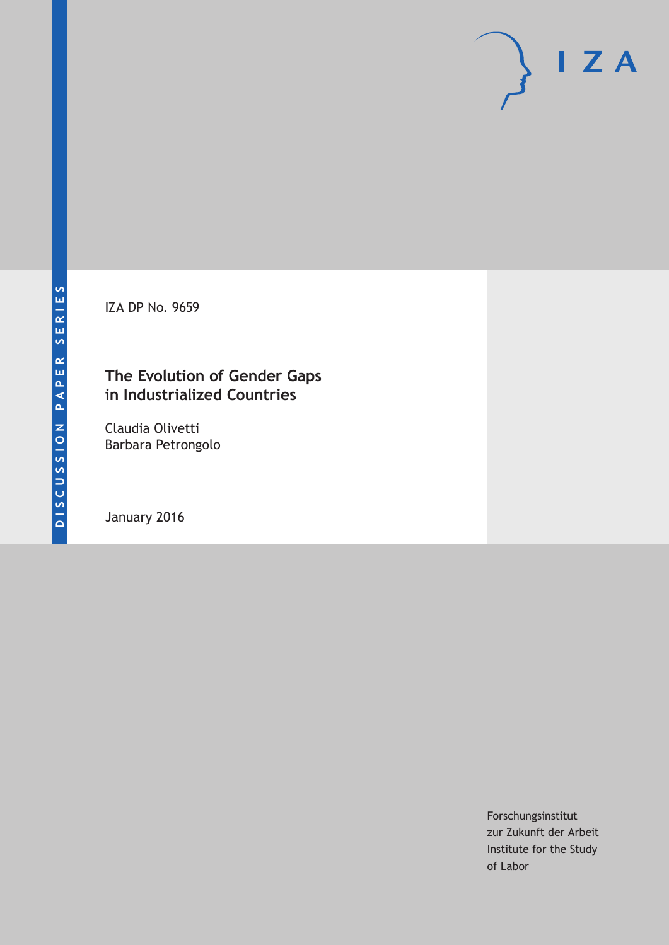IZA DP No. 9659

# **The Evolution of Gender Gaps in Industrialized Countries**

Claudia Olivetti Barbara Petrongolo

January 2016

Forschungsinstitut zur Zukunft der Arbeit Institute for the Study of Labor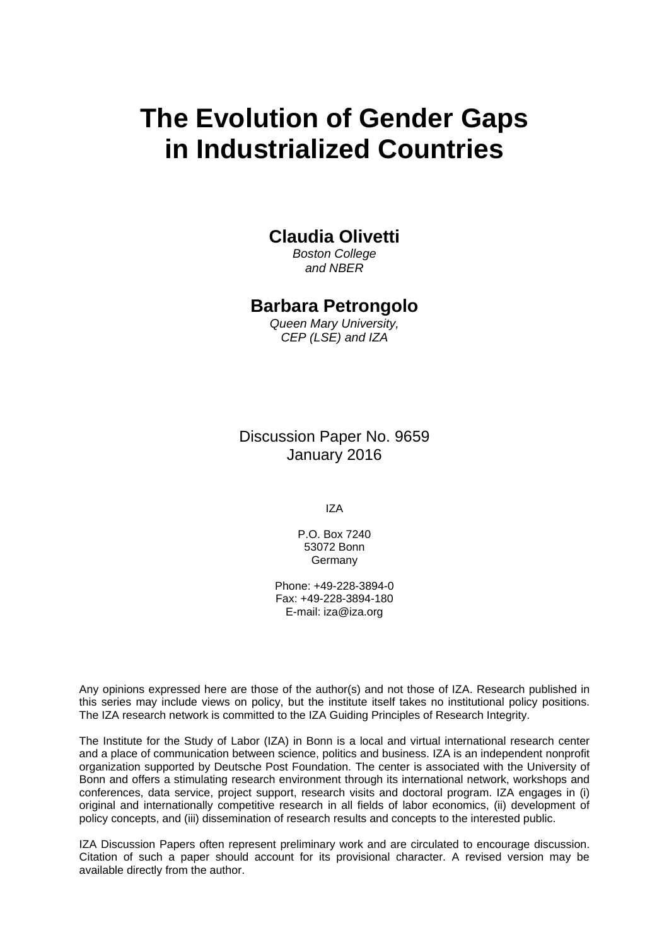# **The Evolution of Gender Gaps in Industrialized Countries**

### **Claudia Olivetti**

*Boston College and NBER* 

### **Barbara Petrongolo**

*Queen Mary University, CEP (LSE) and IZA* 

Discussion Paper No. 9659 January 2016

IZA

P.O. Box 7240 53072 Bonn Germany

Phone: +49-228-3894-0 Fax: +49-228-3894-180 E-mail: iza@iza.org

Any opinions expressed here are those of the author(s) and not those of IZA. Research published in this series may include views on policy, but the institute itself takes no institutional policy positions. The IZA research network is committed to the IZA Guiding Principles of Research Integrity.

The Institute for the Study of Labor (IZA) in Bonn is a local and virtual international research center and a place of communication between science, politics and business. IZA is an independent nonprofit organization supported by Deutsche Post Foundation. The center is associated with the University of Bonn and offers a stimulating research environment through its international network, workshops and conferences, data service, project support, research visits and doctoral program. IZA engages in (i) original and internationally competitive research in all fields of labor economics, (ii) development of policy concepts, and (iii) dissemination of research results and concepts to the interested public.

IZA Discussion Papers often represent preliminary work and are circulated to encourage discussion. Citation of such a paper should account for its provisional character. A revised version may be available directly from the author.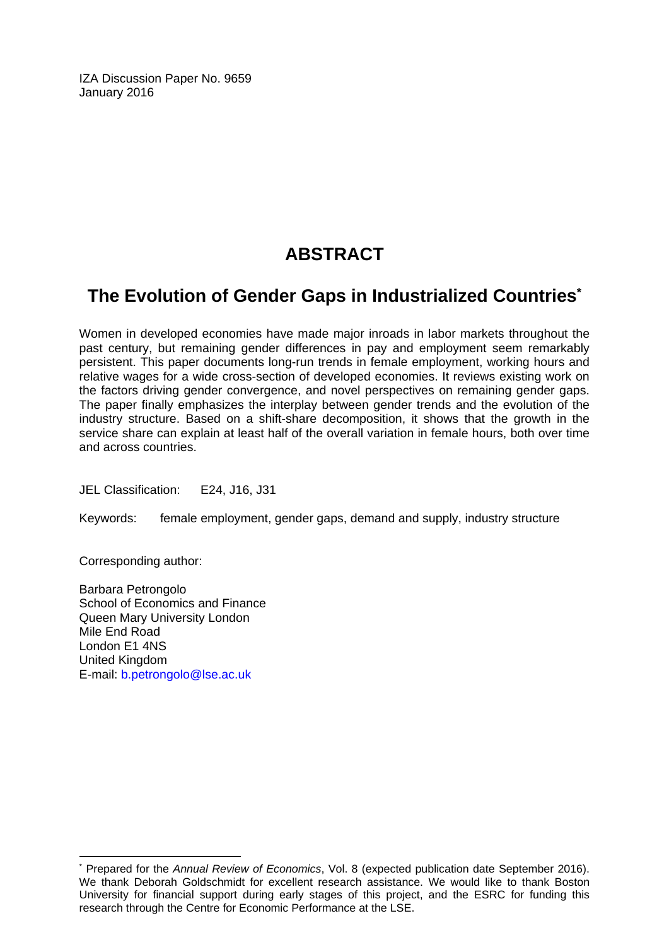IZA Discussion Paper No. 9659 January 2016

# **ABSTRACT**

# **The Evolution of Gender Gaps in Industrialized Countries\***

Women in developed economies have made major inroads in labor markets throughout the past century, but remaining gender differences in pay and employment seem remarkably persistent. This paper documents long-run trends in female employment, working hours and relative wages for a wide cross-section of developed economies. It reviews existing work on the factors driving gender convergence, and novel perspectives on remaining gender gaps. The paper finally emphasizes the interplay between gender trends and the evolution of the industry structure. Based on a shift-share decomposition, it shows that the growth in the service share can explain at least half of the overall variation in female hours, both over time and across countries.

JEL Classification: E24, J16, J31

Keywords: female employment, gender gaps, demand and supply, industry structure

Corresponding author:

 $\overline{\phantom{a}}$ 

Barbara Petrongolo School of Economics and Finance Queen Mary University London Mile End Road London E1 4NS United Kingdom E-mail: b.petrongolo@lse.ac.uk

<sup>\*</sup> Prepared for the *Annual Review of Economics*, Vol. 8 (expected publication date September 2016). We thank Deborah Goldschmidt for excellent research assistance. We would like to thank Boston University for financial support during early stages of this project, and the ESRC for funding this research through the Centre for Economic Performance at the LSE.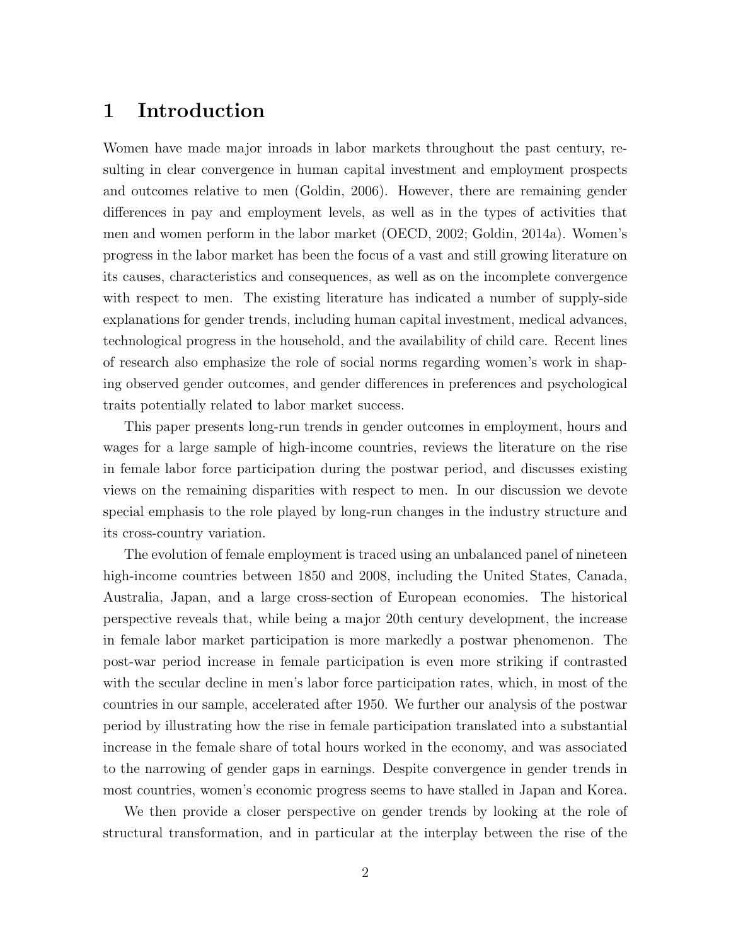## 1 Introduction

Women have made major inroads in labor markets throughout the past century, resulting in clear convergence in human capital investment and employment prospects and outcomes relative to men (Goldin, 2006). However, there are remaining gender differences in pay and employment levels, as well as in the types of activities that men and women perform in the labor market (OECD, 2002; Goldin, 2014a). Women's progress in the labor market has been the focus of a vast and still growing literature on its causes, characteristics and consequences, as well as on the incomplete convergence with respect to men. The existing literature has indicated a number of supply-side explanations for gender trends, including human capital investment, medical advances, technological progress in the household, and the availability of child care. Recent lines of research also emphasize the role of social norms regarding women's work in shaping observed gender outcomes, and gender differences in preferences and psychological traits potentially related to labor market success.

This paper presents long-run trends in gender outcomes in employment, hours and wages for a large sample of high-income countries, reviews the literature on the rise in female labor force participation during the postwar period, and discusses existing views on the remaining disparities with respect to men. In our discussion we devote special emphasis to the role played by long-run changes in the industry structure and its cross-country variation.

The evolution of female employment is traced using an unbalanced panel of nineteen high-income countries between 1850 and 2008, including the United States, Canada, Australia, Japan, and a large cross-section of European economies. The historical perspective reveals that, while being a major 20th century development, the increase in female labor market participation is more markedly a postwar phenomenon. The post-war period increase in female participation is even more striking if contrasted with the secular decline in men's labor force participation rates, which, in most of the countries in our sample, accelerated after 1950. We further our analysis of the postwar period by illustrating how the rise in female participation translated into a substantial increase in the female share of total hours worked in the economy, and was associated to the narrowing of gender gaps in earnings. Despite convergence in gender trends in most countries, women's economic progress seems to have stalled in Japan and Korea.

We then provide a closer perspective on gender trends by looking at the role of structural transformation, and in particular at the interplay between the rise of the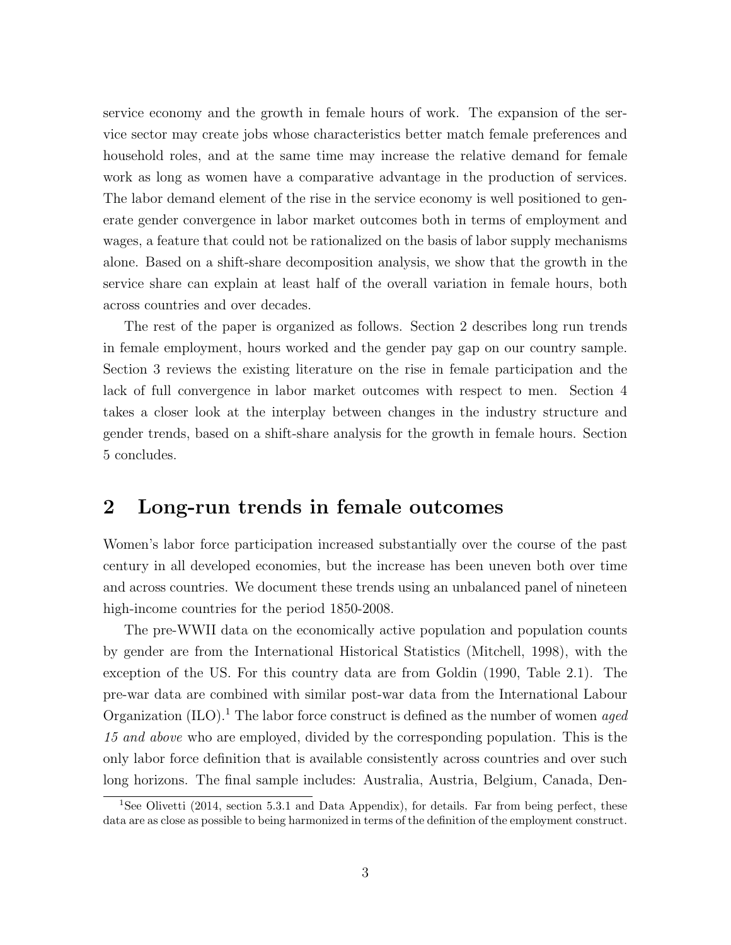service economy and the growth in female hours of work. The expansion of the service sector may create jobs whose characteristics better match female preferences and household roles, and at the same time may increase the relative demand for female work as long as women have a comparative advantage in the production of services. The labor demand element of the rise in the service economy is well positioned to generate gender convergence in labor market outcomes both in terms of employment and wages, a feature that could not be rationalized on the basis of labor supply mechanisms alone. Based on a shift-share decomposition analysis, we show that the growth in the service share can explain at least half of the overall variation in female hours, both across countries and over decades.

The rest of the paper is organized as follows. Section 2 describes long run trends in female employment, hours worked and the gender pay gap on our country sample. Section 3 reviews the existing literature on the rise in female participation and the lack of full convergence in labor market outcomes with respect to men. Section 4 takes a closer look at the interplay between changes in the industry structure and gender trends, based on a shift-share analysis for the growth in female hours. Section 5 concludes.

# 2 Long-run trends in female outcomes

Women's labor force participation increased substantially over the course of the past century in all developed economies, but the increase has been uneven both over time and across countries. We document these trends using an unbalanced panel of nineteen high-income countries for the period 1850-2008.

The pre-WWII data on the economically active population and population counts by gender are from the International Historical Statistics (Mitchell, 1998), with the exception of the US. For this country data are from Goldin (1990, Table 2.1). The pre-war data are combined with similar post-war data from the International Labour Organization  $(IIO)^{1}$ . The labor force construct is defined as the number of women *aged* 15 and above who are employed, divided by the corresponding population. This is the only labor force definition that is available consistently across countries and over such long horizons. The final sample includes: Australia, Austria, Belgium, Canada, Den-

<sup>&</sup>lt;sup>1</sup>See Olivetti (2014, section 5.3.1 and Data Appendix), for details. Far from being perfect, these data are as close as possible to being harmonized in terms of the definition of the employment construct.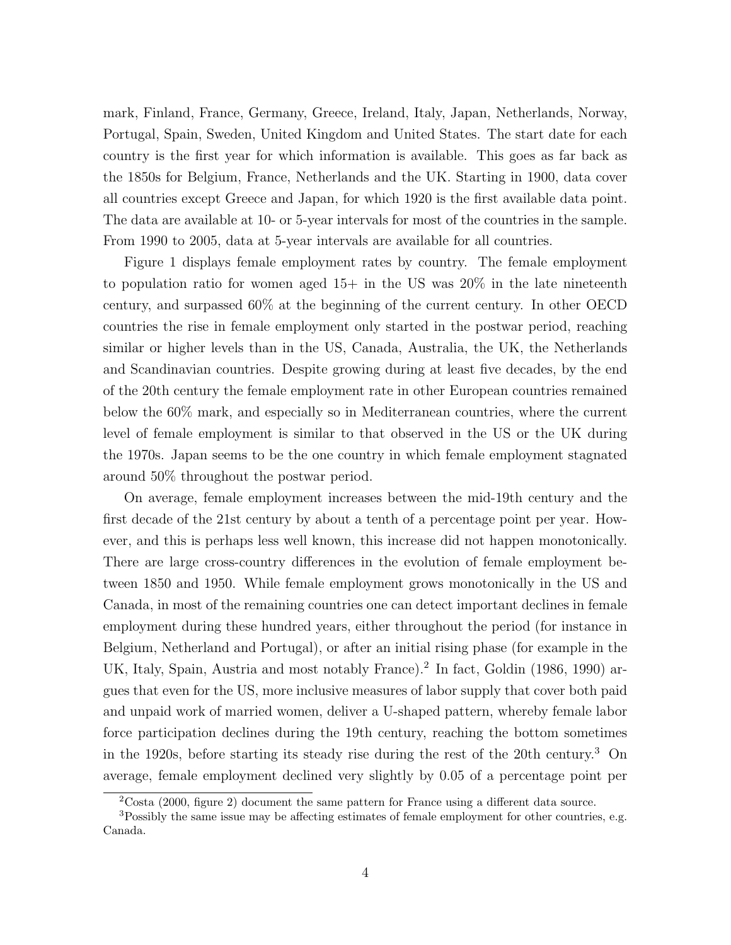mark, Finland, France, Germany, Greece, Ireland, Italy, Japan, Netherlands, Norway, Portugal, Spain, Sweden, United Kingdom and United States. The start date for each country is the first year for which information is available. This goes as far back as the 1850s for Belgium, France, Netherlands and the UK. Starting in 1900, data cover all countries except Greece and Japan, for which 1920 is the first available data point. The data are available at 10- or 5-year intervals for most of the countries in the sample. From 1990 to 2005, data at 5-year intervals are available for all countries.

Figure 1 displays female employment rates by country. The female employment to population ratio for women aged  $15+$  in the US was  $20\%$  in the late nineteenth century, and surpassed 60% at the beginning of the current century. In other OECD countries the rise in female employment only started in the postwar period, reaching similar or higher levels than in the US, Canada, Australia, the UK, the Netherlands and Scandinavian countries. Despite growing during at least five decades, by the end of the 20th century the female employment rate in other European countries remained below the 60% mark, and especially so in Mediterranean countries, where the current level of female employment is similar to that observed in the US or the UK during the 1970s. Japan seems to be the one country in which female employment stagnated around 50% throughout the postwar period.

On average, female employment increases between the mid-19th century and the first decade of the 21st century by about a tenth of a percentage point per year. However, and this is perhaps less well known, this increase did not happen monotonically. There are large cross-country differences in the evolution of female employment between 1850 and 1950. While female employment grows monotonically in the US and Canada, in most of the remaining countries one can detect important declines in female employment during these hundred years, either throughout the period (for instance in Belgium, Netherland and Portugal), or after an initial rising phase (for example in the UK, Italy, Spain, Austria and most notably France).<sup>2</sup> In fact, Goldin (1986, 1990) argues that even for the US, more inclusive measures of labor supply that cover both paid and unpaid work of married women, deliver a U-shaped pattern, whereby female labor force participation declines during the 19th century, reaching the bottom sometimes in the 1920s, before starting its steady rise during the rest of the 20th century.<sup>3</sup> On average, female employment declined very slightly by 0.05 of a percentage point per

<sup>2</sup>Costa (2000, figure 2) document the same pattern for France using a different data source.

<sup>3</sup>Possibly the same issue may be affecting estimates of female employment for other countries, e.g. Canada.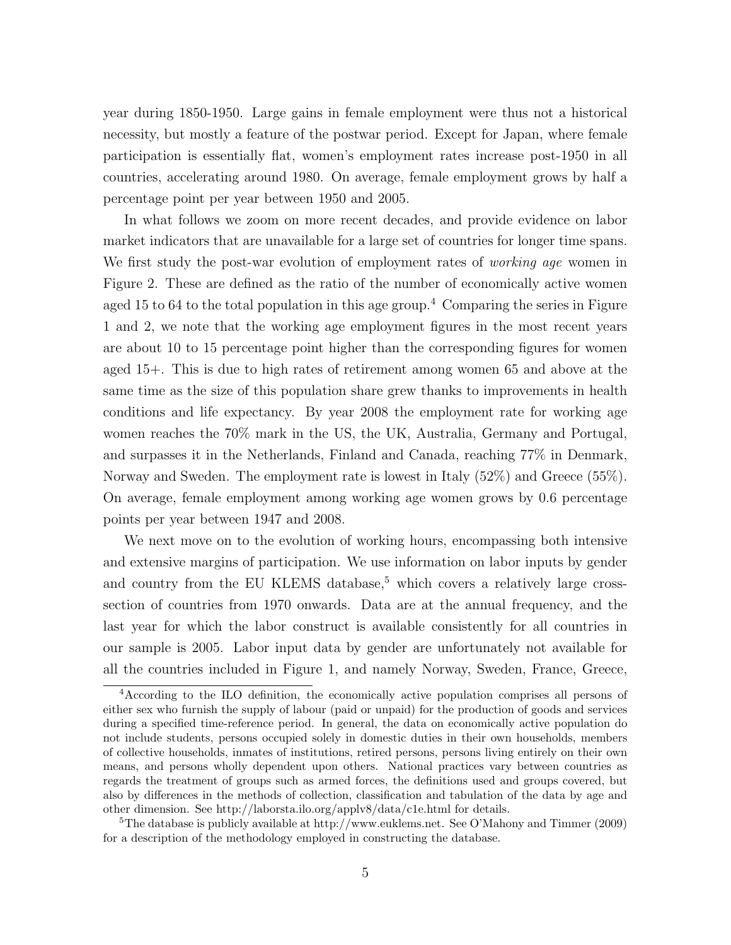year during 1850-1950. Large gains in female employment were thus not a historical necessity, but mostly a feature of the postwar period. Except for Japan, where female participation is essentially flat, women's employment rates increase post-1950 in all countries, accelerating around 1980. On average, female employment grows by half a percentage point per year between 1950 and 2005.

In what follows we zoom on more recent decades, and provide evidence on labor market indicators that are unavailable for a large set of countries for longer time spans. We first study the post-war evolution of employment rates of *working age* women in Figure 2. These are defined as the ratio of the number of economically active women aged 15 to 64 to the total population in this age group.<sup>4</sup> Comparing the series in Figure 1 and 2, we note that the working age employment figures in the most recent years are about 10 to 15 percentage point higher than the corresponding figures for women aged 15+. This is due to high rates of retirement among women 65 and above at the same time as the size of this population share grew thanks to improvements in health conditions and life expectancy. By year 2008 the employment rate for working age women reaches the 70% mark in the US, the UK, Australia, Germany and Portugal, and surpasses it in the Netherlands, Finland and Canada, reaching 77% in Denmark, Norway and Sweden. The employment rate is lowest in Italy (52%) and Greece (55%). On average, female employment among working age women grows by 0.6 percentage points per year between 1947 and 2008.

We next move on to the evolution of working hours, encompassing both intensive and extensive margins of participation. We use information on labor inputs by gender and country from the EU KLEMS database,<sup>5</sup> which covers a relatively large crosssection of countries from 1970 onwards. Data are at the annual frequency, and the last year for which the labor construct is available consistently for all countries in our sample is 2005. Labor input data by gender are unfortunately not available for all the countries included in Figure 1, and namely Norway, Sweden, France, Greece,

<sup>4</sup>According to the ILO definition, the economically active population comprises all persons of either sex who furnish the supply of labour (paid or unpaid) for the production of goods and services during a specified time-reference period. In general, the data on economically active population do not include students, persons occupied solely in domestic duties in their own households, members of collective households, inmates of institutions, retired persons, persons living entirely on their own means, and persons wholly dependent upon others. National practices vary between countries as regards the treatment of groups such as armed forces, the definitions used and groups covered, but also by differences in the methods of collection, classification and tabulation of the data by age and other dimension. See http://laborsta.ilo.org/applv8/data/c1e.html for details.

<sup>&</sup>lt;sup>5</sup>The database is publicly available at http://www.euklems.net. See O'Mahony and Timmer (2009) for a description of the methodology employed in constructing the database.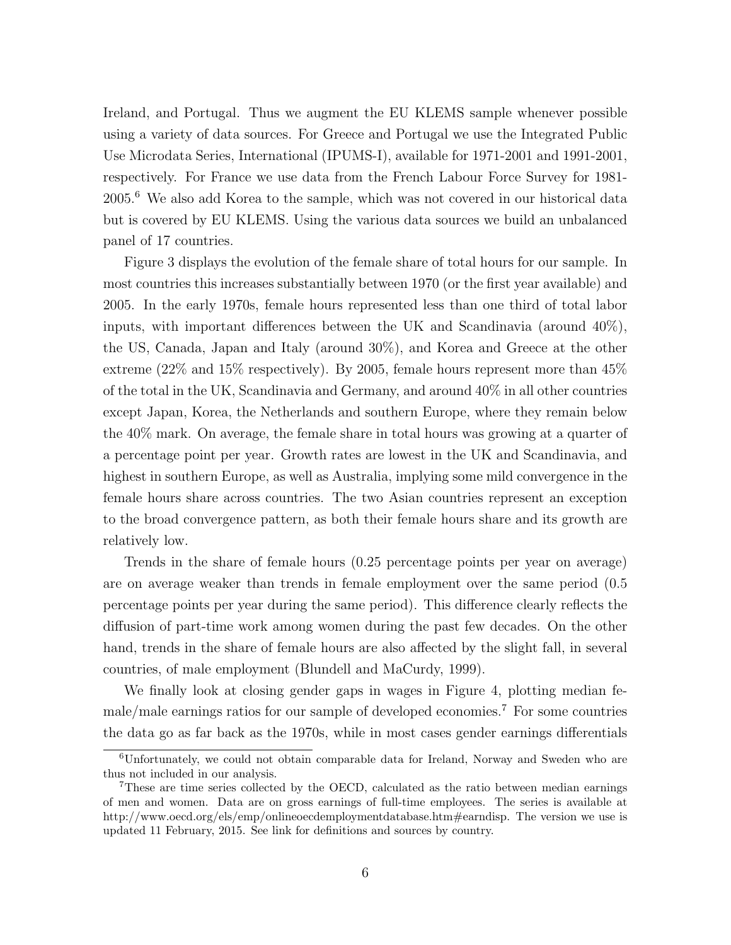Ireland, and Portugal. Thus we augment the EU KLEMS sample whenever possible using a variety of data sources. For Greece and Portugal we use the Integrated Public Use Microdata Series, International (IPUMS-I), available for 1971-2001 and 1991-2001, respectively. For France we use data from the French Labour Force Survey for 1981- 2005.<sup>6</sup> We also add Korea to the sample, which was not covered in our historical data but is covered by EU KLEMS. Using the various data sources we build an unbalanced panel of 17 countries.

Figure 3 displays the evolution of the female share of total hours for our sample. In most countries this increases substantially between 1970 (or the first year available) and 2005. In the early 1970s, female hours represented less than one third of total labor inputs, with important differences between the UK and Scandinavia (around 40%), the US, Canada, Japan and Italy (around 30%), and Korea and Greece at the other extreme (22% and 15% respectively). By 2005, female hours represent more than 45% of the total in the UK, Scandinavia and Germany, and around 40% in all other countries except Japan, Korea, the Netherlands and southern Europe, where they remain below the 40% mark. On average, the female share in total hours was growing at a quarter of a percentage point per year. Growth rates are lowest in the UK and Scandinavia, and highest in southern Europe, as well as Australia, implying some mild convergence in the female hours share across countries. The two Asian countries represent an exception to the broad convergence pattern, as both their female hours share and its growth are relatively low.

Trends in the share of female hours (0.25 percentage points per year on average) are on average weaker than trends in female employment over the same period (0.5 percentage points per year during the same period). This difference clearly reflects the diffusion of part-time work among women during the past few decades. On the other hand, trends in the share of female hours are also affected by the slight fall, in several countries, of male employment (Blundell and MaCurdy, 1999).

We finally look at closing gender gaps in wages in Figure 4, plotting median female/male earnings ratios for our sample of developed economies.<sup>7</sup> For some countries the data go as far back as the 1970s, while in most cases gender earnings differentials

<sup>6</sup>Unfortunately, we could not obtain comparable data for Ireland, Norway and Sweden who are thus not included in our analysis.

<sup>7</sup>These are time series collected by the OECD, calculated as the ratio between median earnings of men and women. Data are on gross earnings of full-time employees. The series is available at http://www.oecd.org/els/emp/onlineoecdemploymentdatabase.htm#earndisp. The version we use is updated 11 February, 2015. See link for definitions and sources by country.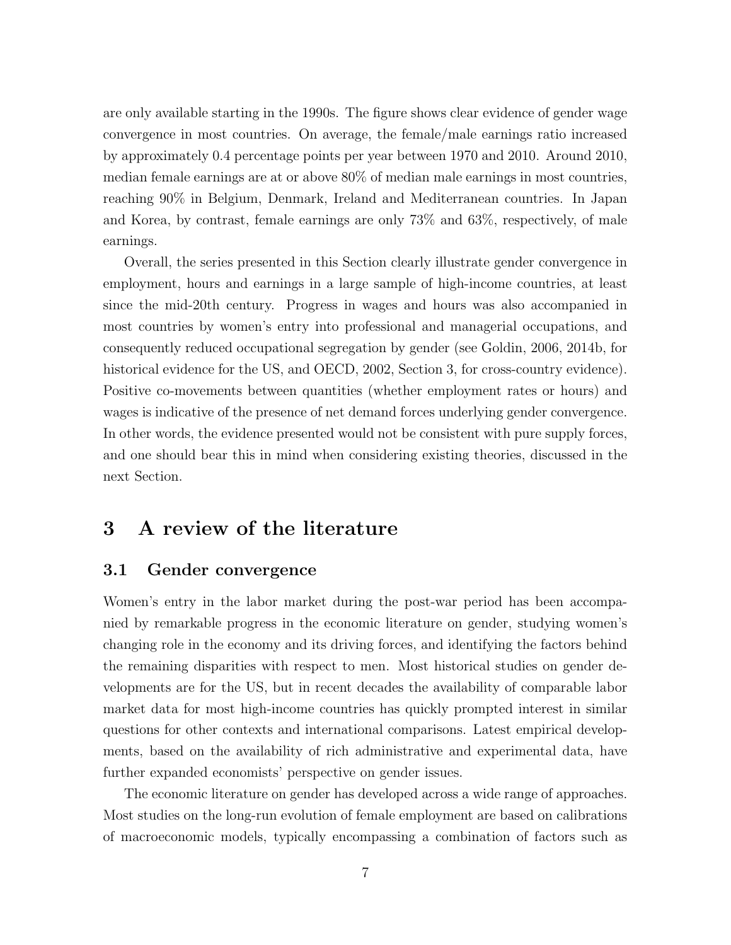are only available starting in the 1990s. The figure shows clear evidence of gender wage convergence in most countries. On average, the female/male earnings ratio increased by approximately 0.4 percentage points per year between 1970 and 2010. Around 2010, median female earnings are at or above 80% of median male earnings in most countries, reaching 90% in Belgium, Denmark, Ireland and Mediterranean countries. In Japan and Korea, by contrast, female earnings are only 73% and 63%, respectively, of male earnings.

Overall, the series presented in this Section clearly illustrate gender convergence in employment, hours and earnings in a large sample of high-income countries, at least since the mid-20th century. Progress in wages and hours was also accompanied in most countries by women's entry into professional and managerial occupations, and consequently reduced occupational segregation by gender (see Goldin, 2006, 2014b, for historical evidence for the US, and OECD, 2002, Section 3, for cross-country evidence). Positive co-movements between quantities (whether employment rates or hours) and wages is indicative of the presence of net demand forces underlying gender convergence. In other words, the evidence presented would not be consistent with pure supply forces, and one should bear this in mind when considering existing theories, discussed in the next Section.

# 3 A review of the literature

#### 3.1 Gender convergence

Women's entry in the labor market during the post-war period has been accompanied by remarkable progress in the economic literature on gender, studying women's changing role in the economy and its driving forces, and identifying the factors behind the remaining disparities with respect to men. Most historical studies on gender developments are for the US, but in recent decades the availability of comparable labor market data for most high-income countries has quickly prompted interest in similar questions for other contexts and international comparisons. Latest empirical developments, based on the availability of rich administrative and experimental data, have further expanded economists' perspective on gender issues.

The economic literature on gender has developed across a wide range of approaches. Most studies on the long-run evolution of female employment are based on calibrations of macroeconomic models, typically encompassing a combination of factors such as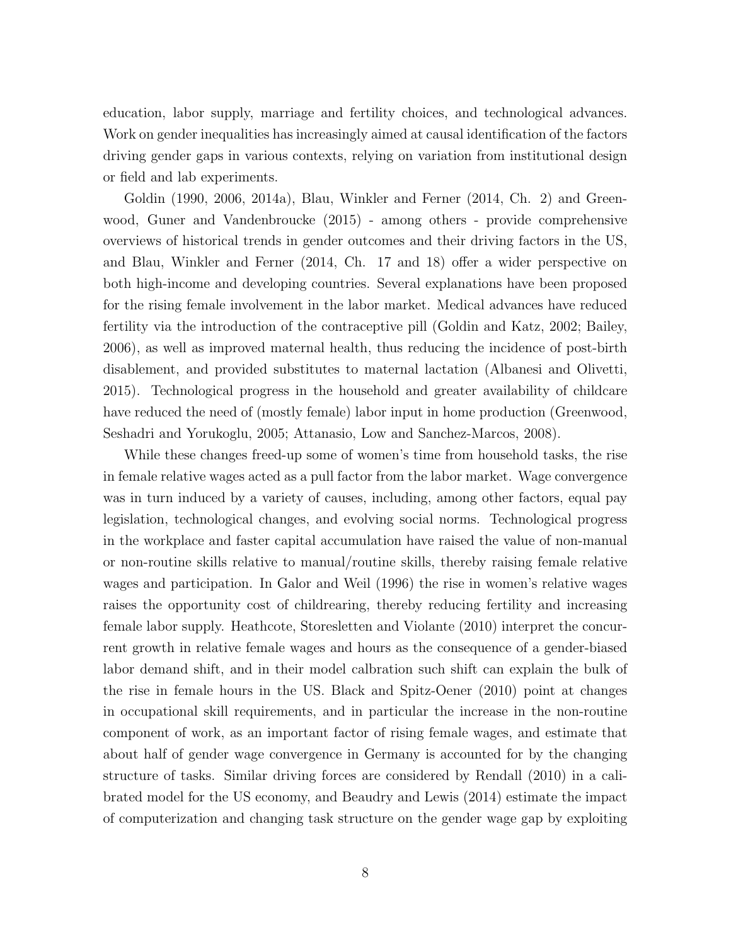education, labor supply, marriage and fertility choices, and technological advances. Work on gender inequalities has increasingly aimed at causal identification of the factors driving gender gaps in various contexts, relying on variation from institutional design or field and lab experiments.

Goldin (1990, 2006, 2014a), Blau, Winkler and Ferner (2014, Ch. 2) and Greenwood, Guner and Vandenbroucke (2015) - among others - provide comprehensive overviews of historical trends in gender outcomes and their driving factors in the US, and Blau, Winkler and Ferner (2014, Ch. 17 and 18) offer a wider perspective on both high-income and developing countries. Several explanations have been proposed for the rising female involvement in the labor market. Medical advances have reduced fertility via the introduction of the contraceptive pill (Goldin and Katz, 2002; Bailey, 2006), as well as improved maternal health, thus reducing the incidence of post-birth disablement, and provided substitutes to maternal lactation (Albanesi and Olivetti, 2015). Technological progress in the household and greater availability of childcare have reduced the need of (mostly female) labor input in home production (Greenwood, Seshadri and Yorukoglu, 2005; Attanasio, Low and Sanchez-Marcos, 2008).

While these changes freed-up some of women's time from household tasks, the rise in female relative wages acted as a pull factor from the labor market. Wage convergence was in turn induced by a variety of causes, including, among other factors, equal pay legislation, technological changes, and evolving social norms. Technological progress in the workplace and faster capital accumulation have raised the value of non-manual or non-routine skills relative to manual/routine skills, thereby raising female relative wages and participation. In Galor and Weil (1996) the rise in women's relative wages raises the opportunity cost of childrearing, thereby reducing fertility and increasing female labor supply. Heathcote, Storesletten and Violante (2010) interpret the concurrent growth in relative female wages and hours as the consequence of a gender-biased labor demand shift, and in their model calbration such shift can explain the bulk of the rise in female hours in the US. Black and Spitz-Oener (2010) point at changes in occupational skill requirements, and in particular the increase in the non-routine component of work, as an important factor of rising female wages, and estimate that about half of gender wage convergence in Germany is accounted for by the changing structure of tasks. Similar driving forces are considered by Rendall (2010) in a calibrated model for the US economy, and Beaudry and Lewis (2014) estimate the impact of computerization and changing task structure on the gender wage gap by exploiting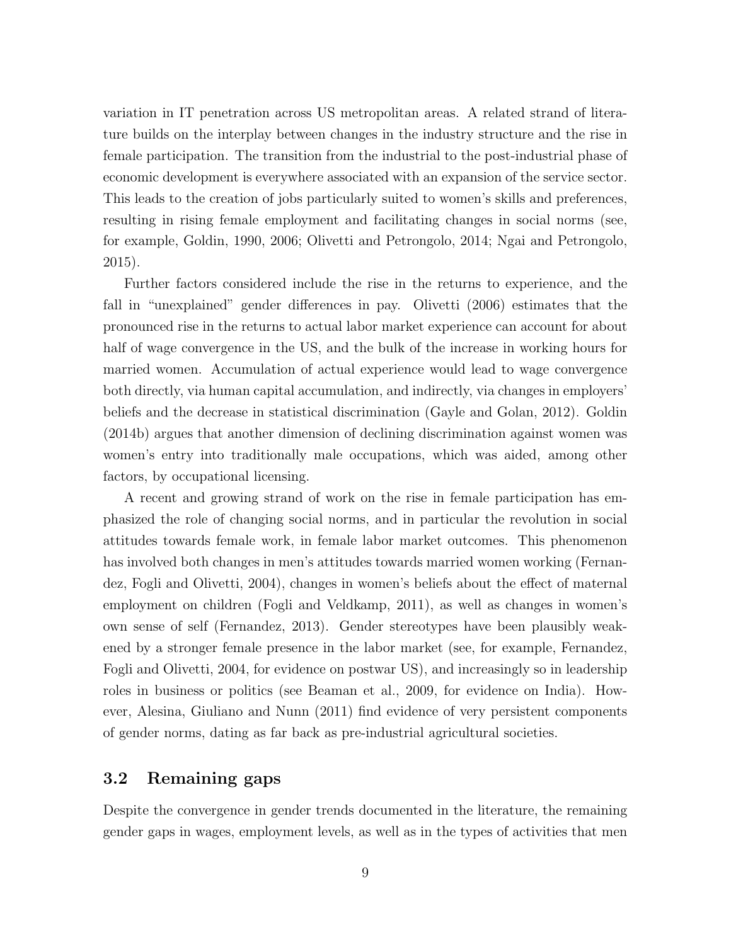variation in IT penetration across US metropolitan areas. A related strand of literature builds on the interplay between changes in the industry structure and the rise in female participation. The transition from the industrial to the post-industrial phase of economic development is everywhere associated with an expansion of the service sector. This leads to the creation of jobs particularly suited to women's skills and preferences, resulting in rising female employment and facilitating changes in social norms (see, for example, Goldin, 1990, 2006; Olivetti and Petrongolo, 2014; Ngai and Petrongolo, 2015).

Further factors considered include the rise in the returns to experience, and the fall in "unexplained" gender differences in pay. Olivetti (2006) estimates that the pronounced rise in the returns to actual labor market experience can account for about half of wage convergence in the US, and the bulk of the increase in working hours for married women. Accumulation of actual experience would lead to wage convergence both directly, via human capital accumulation, and indirectly, via changes in employers' beliefs and the decrease in statistical discrimination (Gayle and Golan, 2012). Goldin (2014b) argues that another dimension of declining discrimination against women was women's entry into traditionally male occupations, which was aided, among other factors, by occupational licensing.

A recent and growing strand of work on the rise in female participation has emphasized the role of changing social norms, and in particular the revolution in social attitudes towards female work, in female labor market outcomes. This phenomenon has involved both changes in men's attitudes towards married women working (Fernandez, Fogli and Olivetti, 2004), changes in women's beliefs about the effect of maternal employment on children (Fogli and Veldkamp, 2011), as well as changes in women's own sense of self (Fernandez, 2013). Gender stereotypes have been plausibly weakened by a stronger female presence in the labor market (see, for example, Fernandez, Fogli and Olivetti, 2004, for evidence on postwar US), and increasingly so in leadership roles in business or politics (see Beaman et al., 2009, for evidence on India). However, Alesina, Giuliano and Nunn (2011) find evidence of very persistent components of gender norms, dating as far back as pre-industrial agricultural societies.

#### 3.2 Remaining gaps

Despite the convergence in gender trends documented in the literature, the remaining gender gaps in wages, employment levels, as well as in the types of activities that men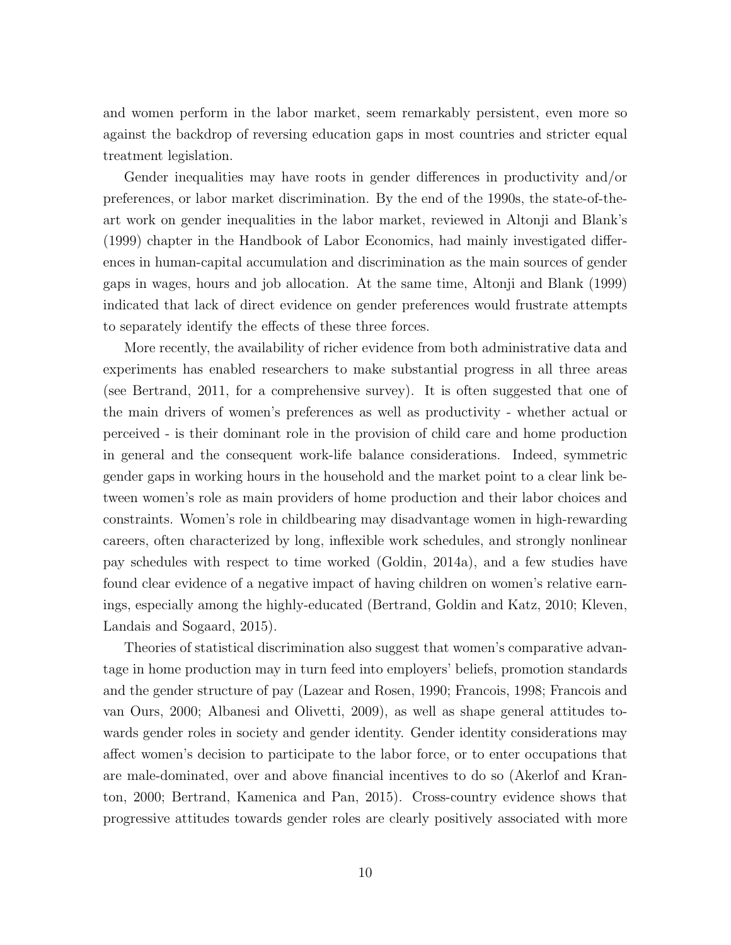and women perform in the labor market, seem remarkably persistent, even more so against the backdrop of reversing education gaps in most countries and stricter equal treatment legislation.

Gender inequalities may have roots in gender differences in productivity and/or preferences, or labor market discrimination. By the end of the 1990s, the state-of-theart work on gender inequalities in the labor market, reviewed in Altonji and Blank's (1999) chapter in the Handbook of Labor Economics, had mainly investigated differences in human-capital accumulation and discrimination as the main sources of gender gaps in wages, hours and job allocation. At the same time, Altonji and Blank (1999) indicated that lack of direct evidence on gender preferences would frustrate attempts to separately identify the effects of these three forces.

More recently, the availability of richer evidence from both administrative data and experiments has enabled researchers to make substantial progress in all three areas (see Bertrand, 2011, for a comprehensive survey). It is often suggested that one of the main drivers of women's preferences as well as productivity - whether actual or perceived - is their dominant role in the provision of child care and home production in general and the consequent work-life balance considerations. Indeed, symmetric gender gaps in working hours in the household and the market point to a clear link between women's role as main providers of home production and their labor choices and constraints. Women's role in childbearing may disadvantage women in high-rewarding careers, often characterized by long, inflexible work schedules, and strongly nonlinear pay schedules with respect to time worked (Goldin, 2014a), and a few studies have found clear evidence of a negative impact of having children on women's relative earnings, especially among the highly-educated (Bertrand, Goldin and Katz, 2010; Kleven, Landais and Sogaard, 2015).

Theories of statistical discrimination also suggest that women's comparative advantage in home production may in turn feed into employers' beliefs, promotion standards and the gender structure of pay (Lazear and Rosen, 1990; Francois, 1998; Francois and van Ours, 2000; Albanesi and Olivetti, 2009), as well as shape general attitudes towards gender roles in society and gender identity. Gender identity considerations may affect women's decision to participate to the labor force, or to enter occupations that are male-dominated, over and above financial incentives to do so (Akerlof and Kranton, 2000; Bertrand, Kamenica and Pan, 2015). Cross-country evidence shows that progressive attitudes towards gender roles are clearly positively associated with more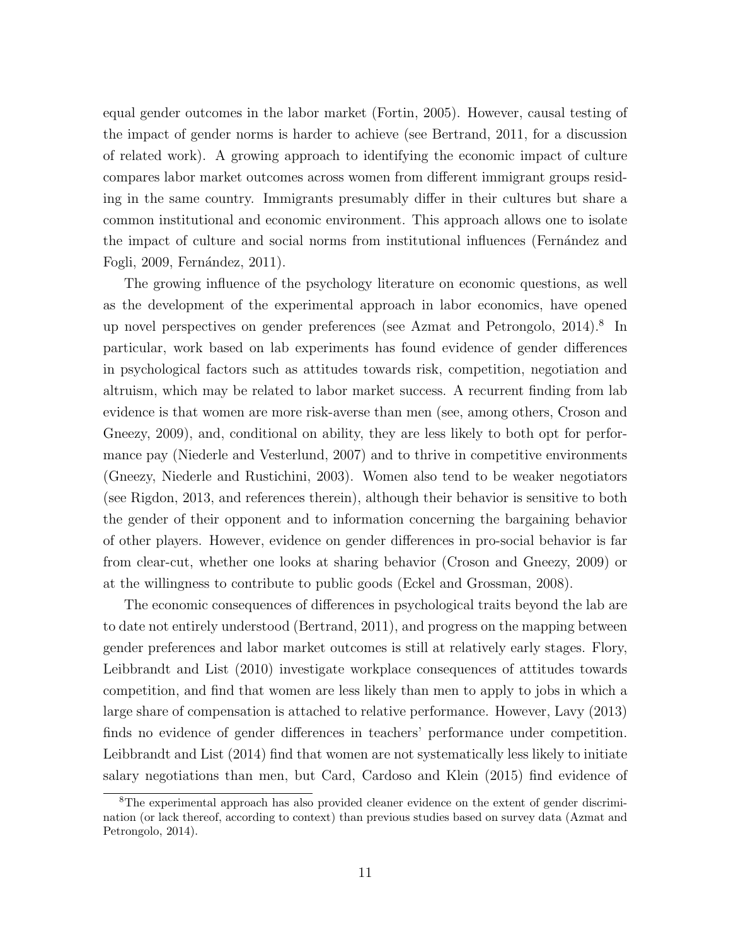equal gender outcomes in the labor market (Fortin, 2005). However, causal testing of the impact of gender norms is harder to achieve (see Bertrand, 2011, for a discussion of related work). A growing approach to identifying the economic impact of culture compares labor market outcomes across women from different immigrant groups residing in the same country. Immigrants presumably differ in their cultures but share a common institutional and economic environment. This approach allows one to isolate the impact of culture and social norms from institutional influences (Fernández and Fogli, 2009, Fernández, 2011).

The growing influence of the psychology literature on economic questions, as well as the development of the experimental approach in labor economics, have opened up novel perspectives on gender preferences (see Azmat and Petrongolo, 2014).<sup>8</sup> In particular, work based on lab experiments has found evidence of gender differences in psychological factors such as attitudes towards risk, competition, negotiation and altruism, which may be related to labor market success. A recurrent finding from lab evidence is that women are more risk-averse than men (see, among others, Croson and Gneezy, 2009), and, conditional on ability, they are less likely to both opt for performance pay (Niederle and Vesterlund, 2007) and to thrive in competitive environments (Gneezy, Niederle and Rustichini, 2003). Women also tend to be weaker negotiators (see Rigdon, 2013, and references therein), although their behavior is sensitive to both the gender of their opponent and to information concerning the bargaining behavior of other players. However, evidence on gender differences in pro-social behavior is far from clear-cut, whether one looks at sharing behavior (Croson and Gneezy, 2009) or at the willingness to contribute to public goods (Eckel and Grossman, 2008).

The economic consequences of differences in psychological traits beyond the lab are to date not entirely understood (Bertrand, 2011), and progress on the mapping between gender preferences and labor market outcomes is still at relatively early stages. Flory, Leibbrandt and List (2010) investigate workplace consequences of attitudes towards competition, and find that women are less likely than men to apply to jobs in which a large share of compensation is attached to relative performance. However, Lavy (2013) finds no evidence of gender differences in teachers' performance under competition. Leibbrandt and List (2014) find that women are not systematically less likely to initiate salary negotiations than men, but Card, Cardoso and Klein (2015) find evidence of

<sup>&</sup>lt;sup>8</sup>The experimental approach has also provided cleaner evidence on the extent of gender discrimination (or lack thereof, according to context) than previous studies based on survey data (Azmat and Petrongolo, 2014).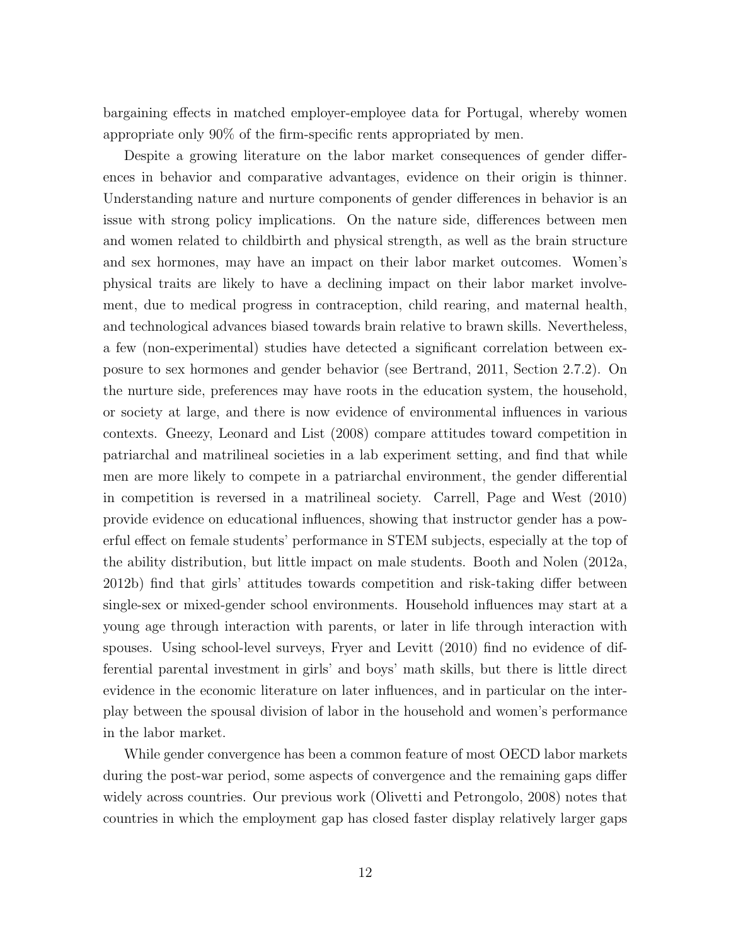bargaining effects in matched employer-employee data for Portugal, whereby women appropriate only 90% of the firm-specific rents appropriated by men.

Despite a growing literature on the labor market consequences of gender differences in behavior and comparative advantages, evidence on their origin is thinner. Understanding nature and nurture components of gender differences in behavior is an issue with strong policy implications. On the nature side, differences between men and women related to childbirth and physical strength, as well as the brain structure and sex hormones, may have an impact on their labor market outcomes. Women's physical traits are likely to have a declining impact on their labor market involvement, due to medical progress in contraception, child rearing, and maternal health, and technological advances biased towards brain relative to brawn skills. Nevertheless, a few (non-experimental) studies have detected a significant correlation between exposure to sex hormones and gender behavior (see Bertrand, 2011, Section 2.7.2). On the nurture side, preferences may have roots in the education system, the household, or society at large, and there is now evidence of environmental influences in various contexts. Gneezy, Leonard and List (2008) compare attitudes toward competition in patriarchal and matrilineal societies in a lab experiment setting, and find that while men are more likely to compete in a patriarchal environment, the gender differential in competition is reversed in a matrilineal society. Carrell, Page and West (2010) provide evidence on educational influences, showing that instructor gender has a powerful effect on female students' performance in STEM subjects, especially at the top of the ability distribution, but little impact on male students. Booth and Nolen (2012a, 2012b) find that girls' attitudes towards competition and risk-taking differ between single-sex or mixed-gender school environments. Household influences may start at a young age through interaction with parents, or later in life through interaction with spouses. Using school-level surveys, Fryer and Levitt (2010) find no evidence of differential parental investment in girls' and boys' math skills, but there is little direct evidence in the economic literature on later influences, and in particular on the interplay between the spousal division of labor in the household and women's performance in the labor market.

While gender convergence has been a common feature of most OECD labor markets during the post-war period, some aspects of convergence and the remaining gaps differ widely across countries. Our previous work (Olivetti and Petrongolo, 2008) notes that countries in which the employment gap has closed faster display relatively larger gaps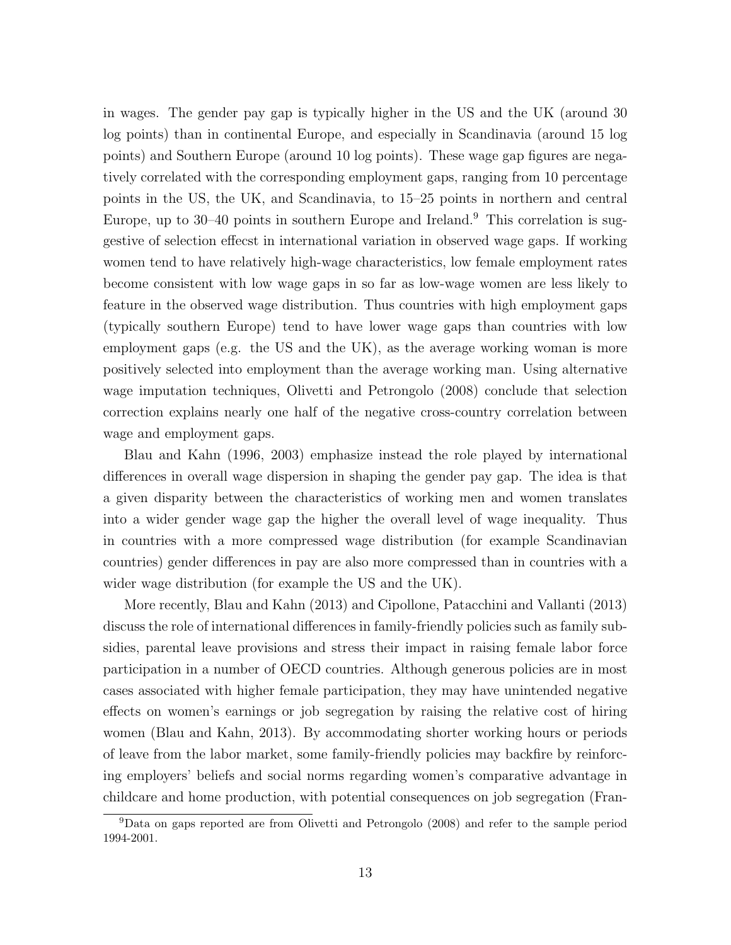in wages. The gender pay gap is typically higher in the US and the UK (around 30 log points) than in continental Europe, and especially in Scandinavia (around 15 log points) and Southern Europe (around 10 log points). These wage gap figures are negatively correlated with the corresponding employment gaps, ranging from 10 percentage points in the US, the UK, and Scandinavia, to 15–25 points in northern and central Europe, up to 30–40 points in southern Europe and Ireland.<sup>9</sup> This correlation is suggestive of selection effecst in international variation in observed wage gaps. If working women tend to have relatively high-wage characteristics, low female employment rates become consistent with low wage gaps in so far as low-wage women are less likely to feature in the observed wage distribution. Thus countries with high employment gaps (typically southern Europe) tend to have lower wage gaps than countries with low employment gaps (e.g. the US and the UK), as the average working woman is more positively selected into employment than the average working man. Using alternative wage imputation techniques, Olivetti and Petrongolo (2008) conclude that selection correction explains nearly one half of the negative cross-country correlation between wage and employment gaps.

Blau and Kahn (1996, 2003) emphasize instead the role played by international differences in overall wage dispersion in shaping the gender pay gap. The idea is that a given disparity between the characteristics of working men and women translates into a wider gender wage gap the higher the overall level of wage inequality. Thus in countries with a more compressed wage distribution (for example Scandinavian countries) gender differences in pay are also more compressed than in countries with a wider wage distribution (for example the US and the UK).

More recently, Blau and Kahn (2013) and Cipollone, Patacchini and Vallanti (2013) discuss the role of international differences in family-friendly policies such as family subsidies, parental leave provisions and stress their impact in raising female labor force participation in a number of OECD countries. Although generous policies are in most cases associated with higher female participation, they may have unintended negative effects on women's earnings or job segregation by raising the relative cost of hiring women (Blau and Kahn, 2013). By accommodating shorter working hours or periods of leave from the labor market, some family-friendly policies may backfire by reinforcing employers' beliefs and social norms regarding women's comparative advantage in childcare and home production, with potential consequences on job segregation (Fran-

<sup>9</sup>Data on gaps reported are from Olivetti and Petrongolo (2008) and refer to the sample period 1994-2001.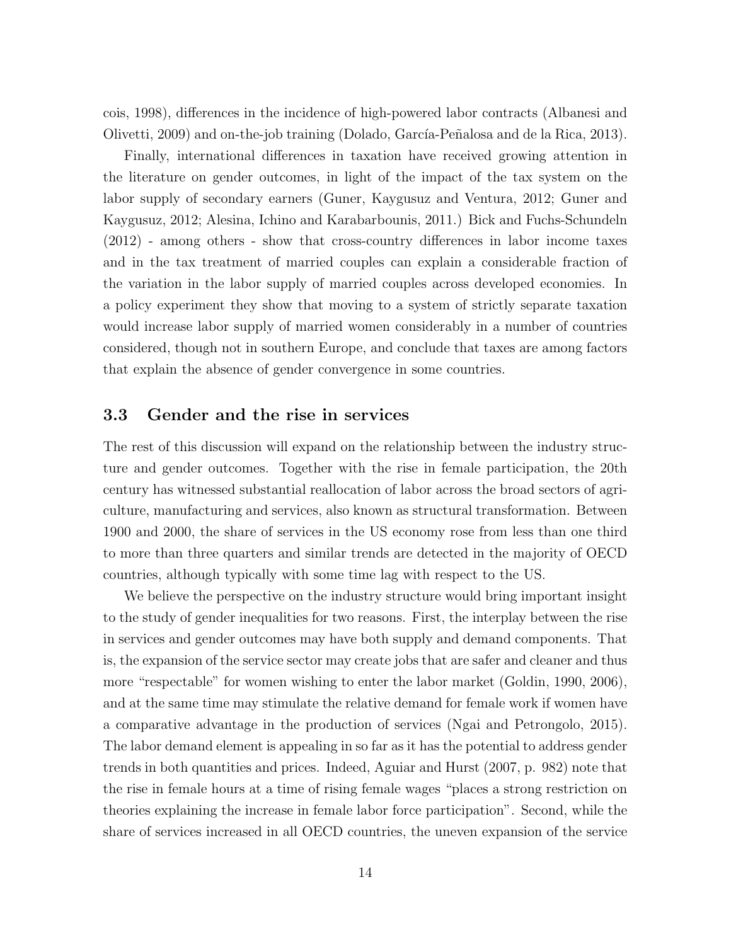cois, 1998), differences in the incidence of high-powered labor contracts (Albanesi and Olivetti, 2009) and on-the-job training (Dolado, García-Peñalosa and de la Rica, 2013).

Finally, international differences in taxation have received growing attention in the literature on gender outcomes, in light of the impact of the tax system on the labor supply of secondary earners (Guner, Kaygusuz and Ventura, 2012; Guner and Kaygusuz, 2012; Alesina, Ichino and Karabarbounis, 2011.) Bick and Fuchs-Schundeln (2012) - among others - show that cross-country differences in labor income taxes and in the tax treatment of married couples can explain a considerable fraction of the variation in the labor supply of married couples across developed economies. In a policy experiment they show that moving to a system of strictly separate taxation would increase labor supply of married women considerably in a number of countries considered, though not in southern Europe, and conclude that taxes are among factors that explain the absence of gender convergence in some countries.

#### 3.3 Gender and the rise in services

The rest of this discussion will expand on the relationship between the industry structure and gender outcomes. Together with the rise in female participation, the 20th century has witnessed substantial reallocation of labor across the broad sectors of agriculture, manufacturing and services, also known as structural transformation. Between 1900 and 2000, the share of services in the US economy rose from less than one third to more than three quarters and similar trends are detected in the majority of OECD countries, although typically with some time lag with respect to the US.

We believe the perspective on the industry structure would bring important insight to the study of gender inequalities for two reasons. First, the interplay between the rise in services and gender outcomes may have both supply and demand components. That is, the expansion of the service sector may create jobs that are safer and cleaner and thus more "respectable" for women wishing to enter the labor market (Goldin, 1990, 2006), and at the same time may stimulate the relative demand for female work if women have a comparative advantage in the production of services (Ngai and Petrongolo, 2015). The labor demand element is appealing in so far as it has the potential to address gender trends in both quantities and prices. Indeed, Aguiar and Hurst (2007, p. 982) note that the rise in female hours at a time of rising female wages "places a strong restriction on theories explaining the increase in female labor force participation". Second, while the share of services increased in all OECD countries, the uneven expansion of the service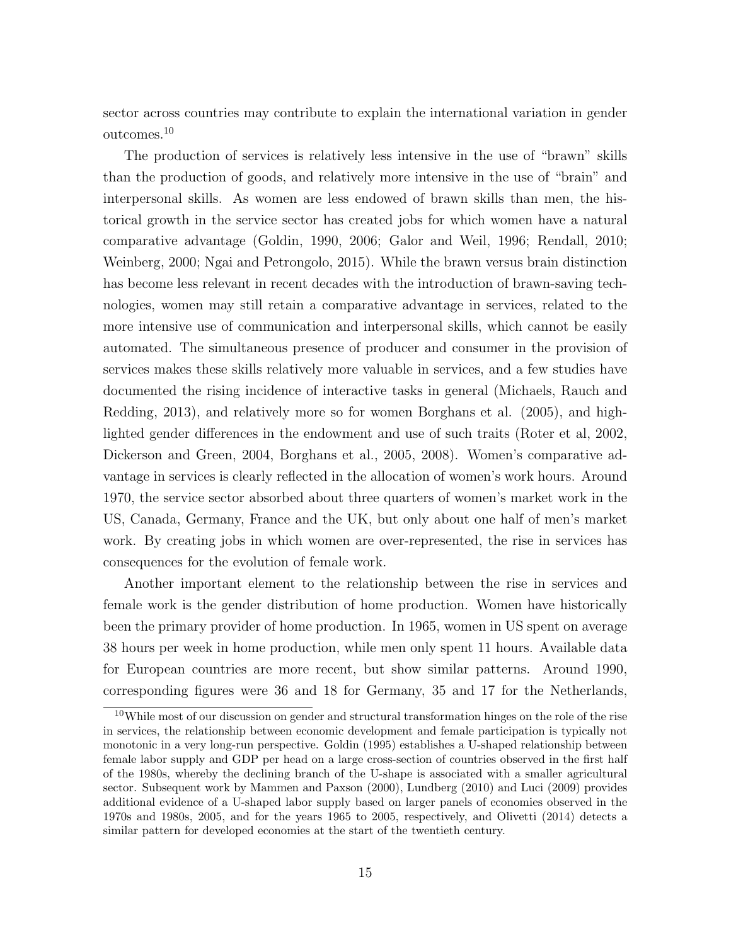sector across countries may contribute to explain the international variation in gender outcomes.<sup>10</sup>

The production of services is relatively less intensive in the use of "brawn" skills than the production of goods, and relatively more intensive in the use of "brain" and interpersonal skills. As women are less endowed of brawn skills than men, the historical growth in the service sector has created jobs for which women have a natural comparative advantage (Goldin, 1990, 2006; Galor and Weil, 1996; Rendall, 2010; Weinberg, 2000; Ngai and Petrongolo, 2015). While the brawn versus brain distinction has become less relevant in recent decades with the introduction of brawn-saving technologies, women may still retain a comparative advantage in services, related to the more intensive use of communication and interpersonal skills, which cannot be easily automated. The simultaneous presence of producer and consumer in the provision of services makes these skills relatively more valuable in services, and a few studies have documented the rising incidence of interactive tasks in general (Michaels, Rauch and Redding, 2013), and relatively more so for women Borghans et al. (2005), and highlighted gender differences in the endowment and use of such traits (Roter et al, 2002, Dickerson and Green, 2004, Borghans et al., 2005, 2008). Women's comparative advantage in services is clearly reflected in the allocation of women's work hours. Around 1970, the service sector absorbed about three quarters of women's market work in the US, Canada, Germany, France and the UK, but only about one half of men's market work. By creating jobs in which women are over-represented, the rise in services has consequences for the evolution of female work.

Another important element to the relationship between the rise in services and female work is the gender distribution of home production. Women have historically been the primary provider of home production. In 1965, women in US spent on average 38 hours per week in home production, while men only spent 11 hours. Available data for European countries are more recent, but show similar patterns. Around 1990, corresponding figures were 36 and 18 for Germany, 35 and 17 for the Netherlands,

<sup>&</sup>lt;sup>10</sup>While most of our discussion on gender and structural transformation hinges on the role of the rise in services, the relationship between economic development and female participation is typically not monotonic in a very long-run perspective. Goldin (1995) establishes a U-shaped relationship between female labor supply and GDP per head on a large cross-section of countries observed in the first half of the 1980s, whereby the declining branch of the U-shape is associated with a smaller agricultural sector. Subsequent work by Mammen and Paxson (2000), Lundberg (2010) and Luci (2009) provides additional evidence of a U-shaped labor supply based on larger panels of economies observed in the 1970s and 1980s, 2005, and for the years 1965 to 2005, respectively, and Olivetti (2014) detects a similar pattern for developed economies at the start of the twentieth century.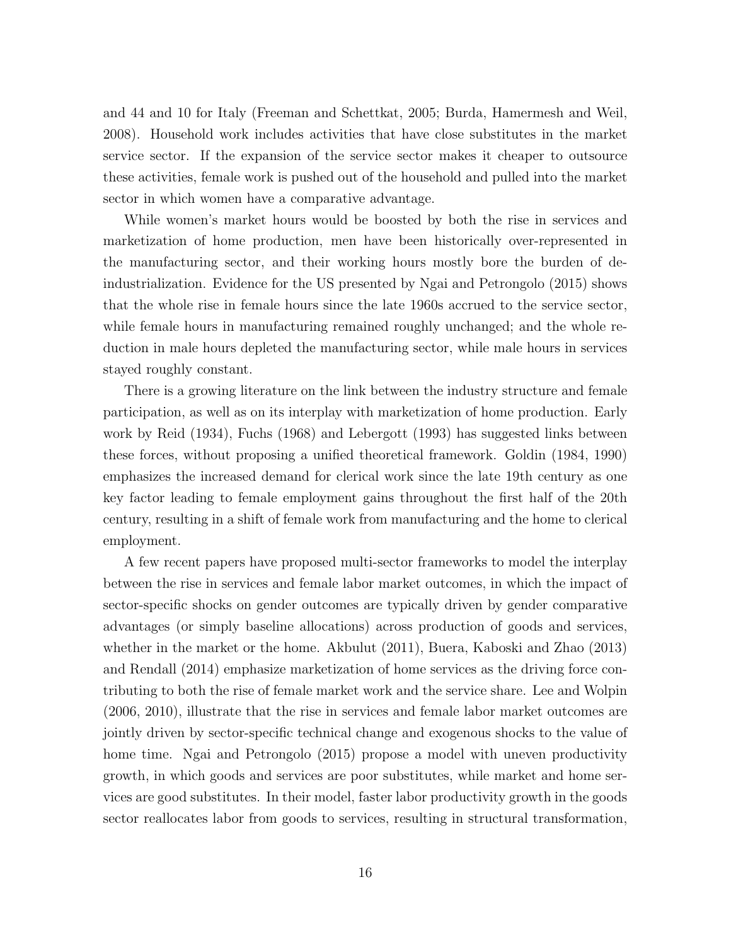and 44 and 10 for Italy (Freeman and Schettkat, 2005; Burda, Hamermesh and Weil, 2008). Household work includes activities that have close substitutes in the market service sector. If the expansion of the service sector makes it cheaper to outsource these activities, female work is pushed out of the household and pulled into the market sector in which women have a comparative advantage.

While women's market hours would be boosted by both the rise in services and marketization of home production, men have been historically over-represented in the manufacturing sector, and their working hours mostly bore the burden of deindustrialization. Evidence for the US presented by Ngai and Petrongolo (2015) shows that the whole rise in female hours since the late 1960s accrued to the service sector, while female hours in manufacturing remained roughly unchanged; and the whole reduction in male hours depleted the manufacturing sector, while male hours in services stayed roughly constant.

There is a growing literature on the link between the industry structure and female participation, as well as on its interplay with marketization of home production. Early work by Reid (1934), Fuchs (1968) and Lebergott (1993) has suggested links between these forces, without proposing a unified theoretical framework. Goldin (1984, 1990) emphasizes the increased demand for clerical work since the late 19th century as one key factor leading to female employment gains throughout the first half of the 20th century, resulting in a shift of female work from manufacturing and the home to clerical employment.

A few recent papers have proposed multi-sector frameworks to model the interplay between the rise in services and female labor market outcomes, in which the impact of sector-specific shocks on gender outcomes are typically driven by gender comparative advantages (or simply baseline allocations) across production of goods and services, whether in the market or the home. Akbulut (2011), Buera, Kaboski and Zhao (2013) and Rendall (2014) emphasize marketization of home services as the driving force contributing to both the rise of female market work and the service share. Lee and Wolpin (2006, 2010), illustrate that the rise in services and female labor market outcomes are jointly driven by sector-specific technical change and exogenous shocks to the value of home time. Ngai and Petrongolo (2015) propose a model with uneven productivity growth, in which goods and services are poor substitutes, while market and home services are good substitutes. In their model, faster labor productivity growth in the goods sector reallocates labor from goods to services, resulting in structural transformation,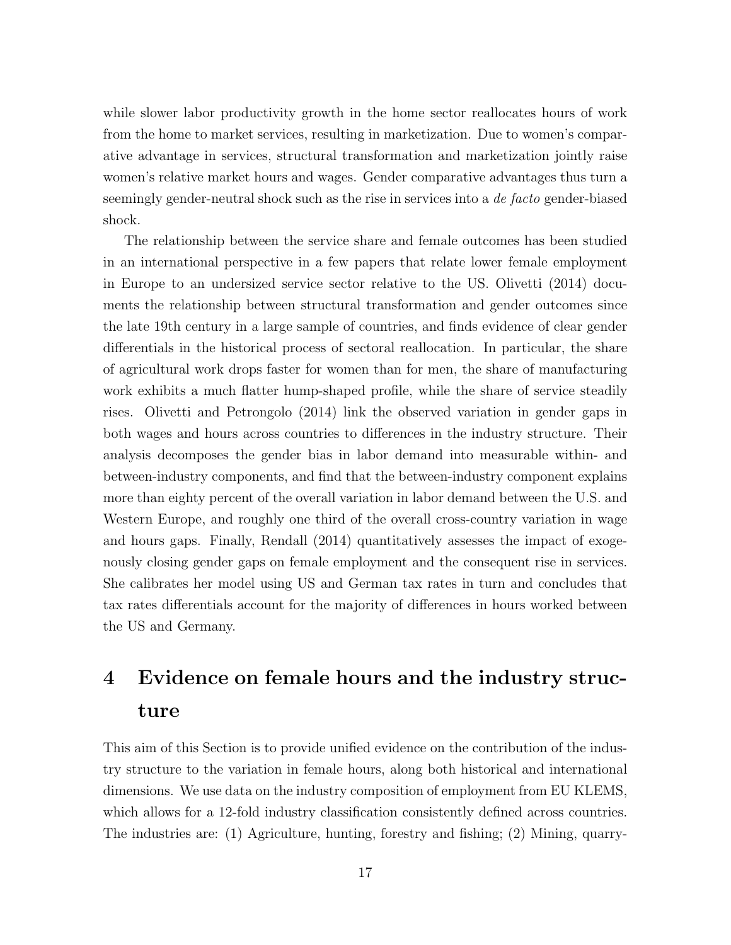while slower labor productivity growth in the home sector reallocates hours of work from the home to market services, resulting in marketization. Due to women's comparative advantage in services, structural transformation and marketization jointly raise women's relative market hours and wages. Gender comparative advantages thus turn a seemingly gender-neutral shock such as the rise in services into a de facto gender-biased shock.

The relationship between the service share and female outcomes has been studied in an international perspective in a few papers that relate lower female employment in Europe to an undersized service sector relative to the US. Olivetti (2014) documents the relationship between structural transformation and gender outcomes since the late 19th century in a large sample of countries, and finds evidence of clear gender differentials in the historical process of sectoral reallocation. In particular, the share of agricultural work drops faster for women than for men, the share of manufacturing work exhibits a much flatter hump-shaped profile, while the share of service steadily rises. Olivetti and Petrongolo (2014) link the observed variation in gender gaps in both wages and hours across countries to differences in the industry structure. Their analysis decomposes the gender bias in labor demand into measurable within- and between-industry components, and find that the between-industry component explains more than eighty percent of the overall variation in labor demand between the U.S. and Western Europe, and roughly one third of the overall cross-country variation in wage and hours gaps. Finally, Rendall (2014) quantitatively assesses the impact of exogenously closing gender gaps on female employment and the consequent rise in services. She calibrates her model using US and German tax rates in turn and concludes that tax rates differentials account for the majority of differences in hours worked between the US and Germany.

# 4 Evidence on female hours and the industry structure

This aim of this Section is to provide unified evidence on the contribution of the industry structure to the variation in female hours, along both historical and international dimensions. We use data on the industry composition of employment from EU KLEMS, which allows for a 12-fold industry classification consistently defined across countries. The industries are: (1) Agriculture, hunting, forestry and fishing; (2) Mining, quarry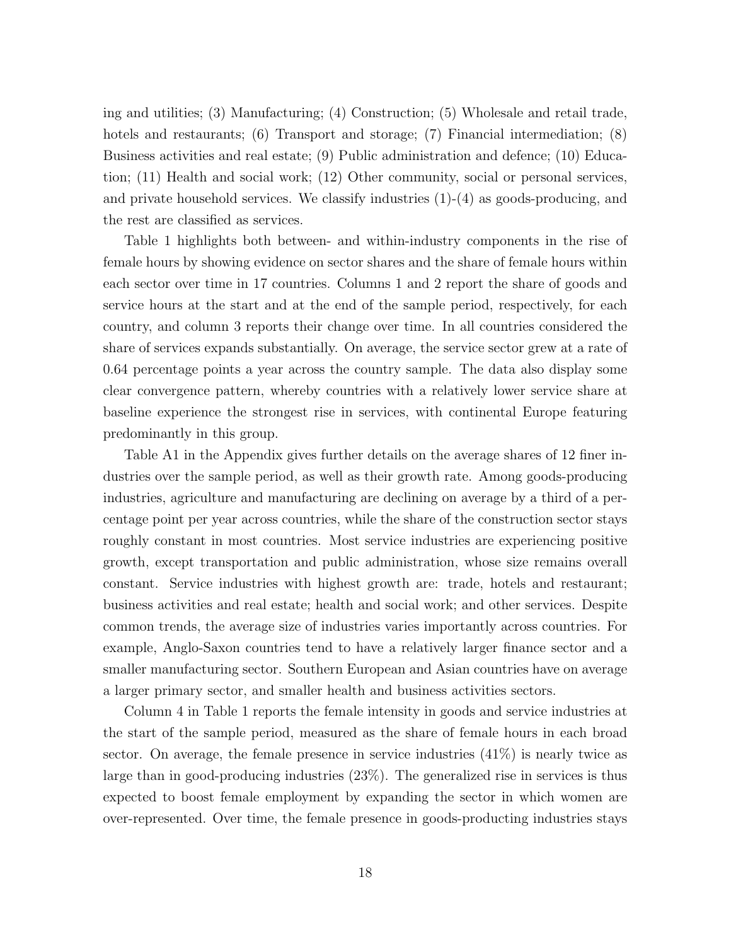ing and utilities; (3) Manufacturing; (4) Construction; (5) Wholesale and retail trade, hotels and restaurants; (6) Transport and storage; (7) Financial intermediation; (8) Business activities and real estate; (9) Public administration and defence; (10) Education; (11) Health and social work; (12) Other community, social or personal services, and private household services. We classify industries  $(1)-(4)$  as goods-producing, and the rest are classified as services.

Table 1 highlights both between- and within-industry components in the rise of female hours by showing evidence on sector shares and the share of female hours within each sector over time in 17 countries. Columns 1 and 2 report the share of goods and service hours at the start and at the end of the sample period, respectively, for each country, and column 3 reports their change over time. In all countries considered the share of services expands substantially. On average, the service sector grew at a rate of 0.64 percentage points a year across the country sample. The data also display some clear convergence pattern, whereby countries with a relatively lower service share at baseline experience the strongest rise in services, with continental Europe featuring predominantly in this group.

Table A1 in the Appendix gives further details on the average shares of 12 finer industries over the sample period, as well as their growth rate. Among goods-producing industries, agriculture and manufacturing are declining on average by a third of a percentage point per year across countries, while the share of the construction sector stays roughly constant in most countries. Most service industries are experiencing positive growth, except transportation and public administration, whose size remains overall constant. Service industries with highest growth are: trade, hotels and restaurant; business activities and real estate; health and social work; and other services. Despite common trends, the average size of industries varies importantly across countries. For example, Anglo-Saxon countries tend to have a relatively larger finance sector and a smaller manufacturing sector. Southern European and Asian countries have on average a larger primary sector, and smaller health and business activities sectors.

Column 4 in Table 1 reports the female intensity in goods and service industries at the start of the sample period, measured as the share of female hours in each broad sector. On average, the female presence in service industries (41%) is nearly twice as large than in good-producing industries (23%). The generalized rise in services is thus expected to boost female employment by expanding the sector in which women are over-represented. Over time, the female presence in goods-producting industries stays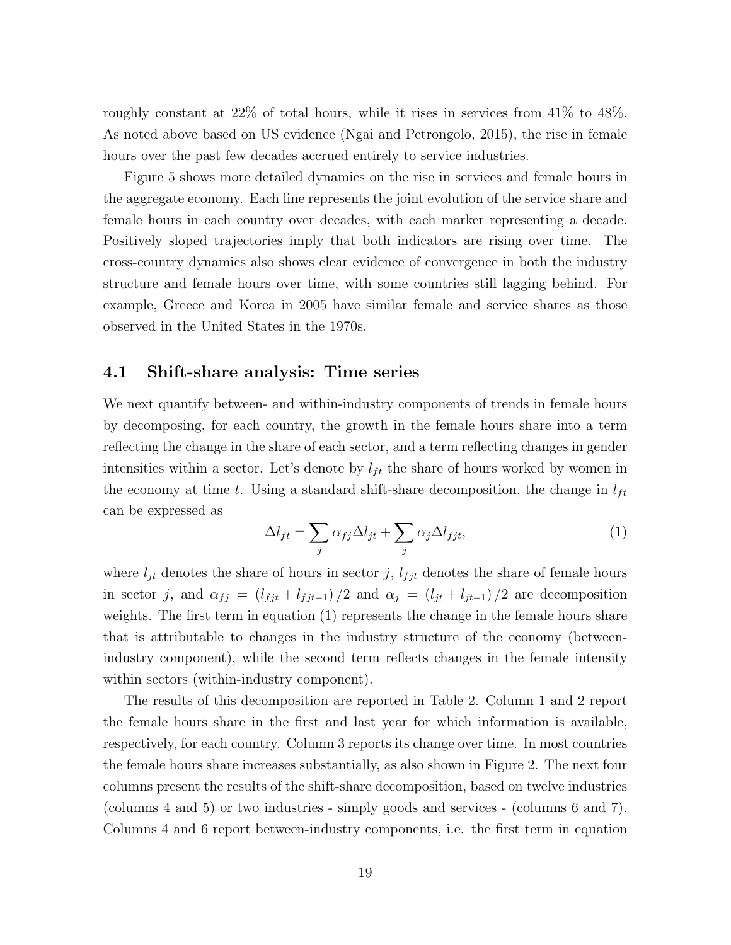roughly constant at 22% of total hours, while it rises in services from 41% to 48%. As noted above based on US evidence (Ngai and Petrongolo, 2015), the rise in female hours over the past few decades accrued entirely to service industries.

Figure 5 shows more detailed dynamics on the rise in services and female hours in the aggregate economy. Each line represents the joint evolution of the service share and female hours in each country over decades, with each marker representing a decade. Positively sloped trajectories imply that both indicators are rising over time. The cross-country dynamics also shows clear evidence of convergence in both the industry structure and female hours over time, with some countries still lagging behind. For example, Greece and Korea in 2005 have similar female and service shares as those observed in the United States in the 1970s.

#### 4.1 Shift-share analysis: Time series

We next quantify between- and within-industry components of trends in female hours by decomposing, for each country, the growth in the female hours share into a term reflecting the change in the share of each sector, and a term reflecting changes in gender intensities within a sector. Let's denote by  $l_{ft}$  the share of hours worked by women in the economy at time t. Using a standard shift-share decomposition, the change in  $l_{ft}$ can be expressed as

$$
\Delta l_{ft} = \sum_{j} \alpha_{fj} \Delta l_{jt} + \sum_{j} \alpha_{j} \Delta l_{fit}, \tag{1}
$$

where  $l_{jt}$  denotes the share of hours in sector j,  $l_{fjt}$  denotes the share of female hours in sector j, and  $\alpha_{fj} = (l_{fjt} + l_{fjt-1})/2$  and  $\alpha_j = (l_{jt} + l_{jt-1})/2$  are decomposition weights. The first term in equation (1) represents the change in the female hours share that is attributable to changes in the industry structure of the economy (betweenindustry component), while the second term reflects changes in the female intensity within sectors (within-industry component).

The results of this decomposition are reported in Table 2. Column 1 and 2 report the female hours share in the first and last year for which information is available, respectively, for each country. Column 3 reports its change over time. In most countries the female hours share increases substantially, as also shown in Figure 2. The next four columns present the results of the shift-share decomposition, based on twelve industries (columns 4 and 5) or two industries - simply goods and services - (columns 6 and 7). Columns 4 and 6 report between-industry components, i.e. the first term in equation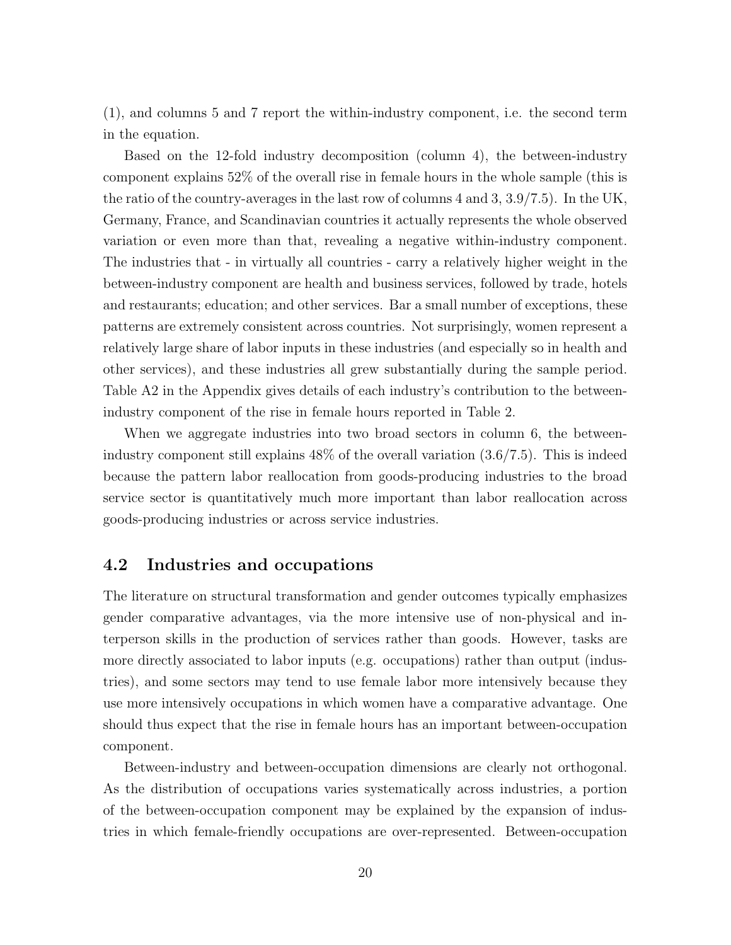(1), and columns 5 and 7 report the within-industry component, i.e. the second term in the equation.

Based on the 12-fold industry decomposition (column 4), the between-industry component explains 52% of the overall rise in female hours in the whole sample (this is the ratio of the country-averages in the last row of columns 4 and 3, 3.9/7.5). In the UK, Germany, France, and Scandinavian countries it actually represents the whole observed variation or even more than that, revealing a negative within-industry component. The industries that - in virtually all countries - carry a relatively higher weight in the between-industry component are health and business services, followed by trade, hotels and restaurants; education; and other services. Bar a small number of exceptions, these patterns are extremely consistent across countries. Not surprisingly, women represent a relatively large share of labor inputs in these industries (and especially so in health and other services), and these industries all grew substantially during the sample period. Table A2 in the Appendix gives details of each industry's contribution to the betweenindustry component of the rise in female hours reported in Table 2.

When we aggregate industries into two broad sectors in column 6, the betweenindustry component still explains 48% of the overall variation (3.6/7.5). This is indeed because the pattern labor reallocation from goods-producing industries to the broad service sector is quantitatively much more important than labor reallocation across goods-producing industries or across service industries.

#### 4.2 Industries and occupations

The literature on structural transformation and gender outcomes typically emphasizes gender comparative advantages, via the more intensive use of non-physical and interperson skills in the production of services rather than goods. However, tasks are more directly associated to labor inputs (e.g. occupations) rather than output (industries), and some sectors may tend to use female labor more intensively because they use more intensively occupations in which women have a comparative advantage. One should thus expect that the rise in female hours has an important between-occupation component.

Between-industry and between-occupation dimensions are clearly not orthogonal. As the distribution of occupations varies systematically across industries, a portion of the between-occupation component may be explained by the expansion of industries in which female-friendly occupations are over-represented. Between-occupation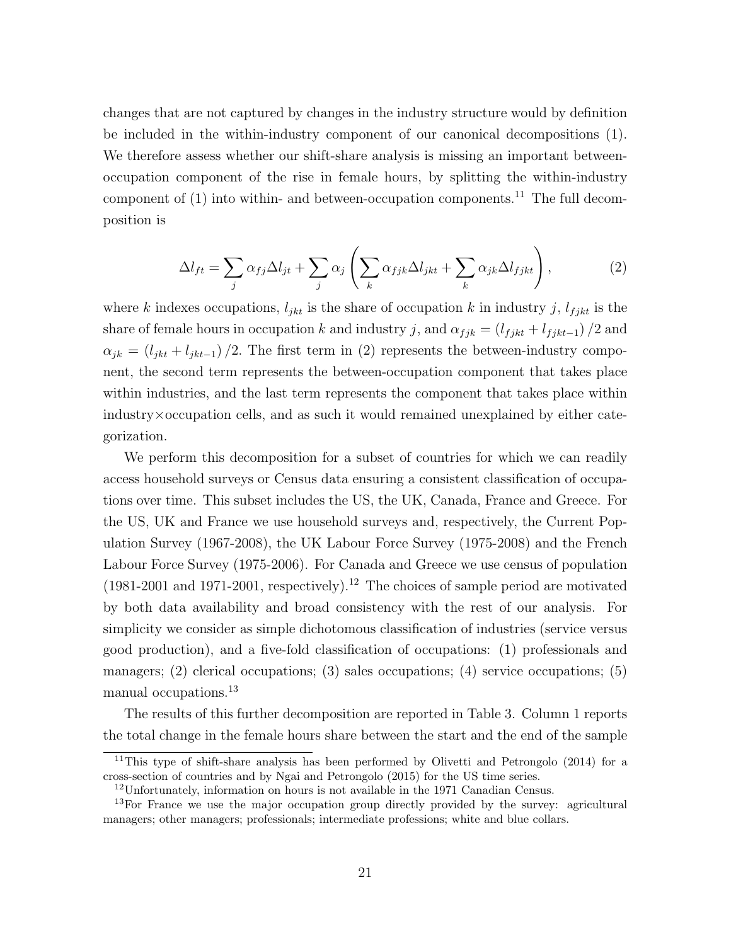changes that are not captured by changes in the industry structure would by definition be included in the within-industry component of our canonical decompositions (1). We therefore assess whether our shift-share analysis is missing an important betweenoccupation component of the rise in female hours, by splitting the within-industry component of  $(1)$  into within- and between-occupation components.<sup>11</sup> The full decomposition is

$$
\Delta l_{ft} = \sum_{j} \alpha_{fj} \Delta l_{jt} + \sum_{j} \alpha_{j} \left( \sum_{k} \alpha_{fjk} \Delta l_{jkt} + \sum_{k} \alpha_{jk} \Delta l_{fjkt} \right), \qquad (2)
$$

where k indexes occupations,  $l_{jkt}$  is the share of occupation k in industry j,  $l_{fjkt}$  is the share of female hours in occupation k and industry j, and  $\alpha_{fjk} = (l_{fjkt} + l_{fjkt-1})/2$  and  $\alpha_{jk} = (l_{jkt} + l_{jkt-1})/2$ . The first term in (2) represents the between-industry component, the second term represents the between-occupation component that takes place within industries, and the last term represents the component that takes place within industry×occupation cells, and as such it would remained unexplained by either categorization.

We perform this decomposition for a subset of countries for which we can readily access household surveys or Census data ensuring a consistent classification of occupations over time. This subset includes the US, the UK, Canada, France and Greece. For the US, UK and France we use household surveys and, respectively, the Current Population Survey (1967-2008), the UK Labour Force Survey (1975-2008) and the French Labour Force Survey (1975-2006). For Canada and Greece we use census of population  $(1981-2001$  and  $1971-2001$ , respectively).<sup>12</sup> The choices of sample period are motivated by both data availability and broad consistency with the rest of our analysis. For simplicity we consider as simple dichotomous classification of industries (service versus good production), and a five-fold classification of occupations: (1) professionals and managers;  $(2)$  clerical occupations;  $(3)$  sales occupations;  $(4)$  service occupations;  $(5)$ manual occupations.<sup>13</sup>

The results of this further decomposition are reported in Table 3. Column 1 reports the total change in the female hours share between the start and the end of the sample

<sup>11</sup>This type of shift-share analysis has been performed by Olivetti and Petrongolo (2014) for a cross-section of countries and by Ngai and Petrongolo (2015) for the US time series.

 $12$ Unfortunately, information on hours is not available in the 1971 Canadian Census.

<sup>&</sup>lt;sup>13</sup>For France we use the major occupation group directly provided by the survey: agricultural managers; other managers; professionals; intermediate professions; white and blue collars.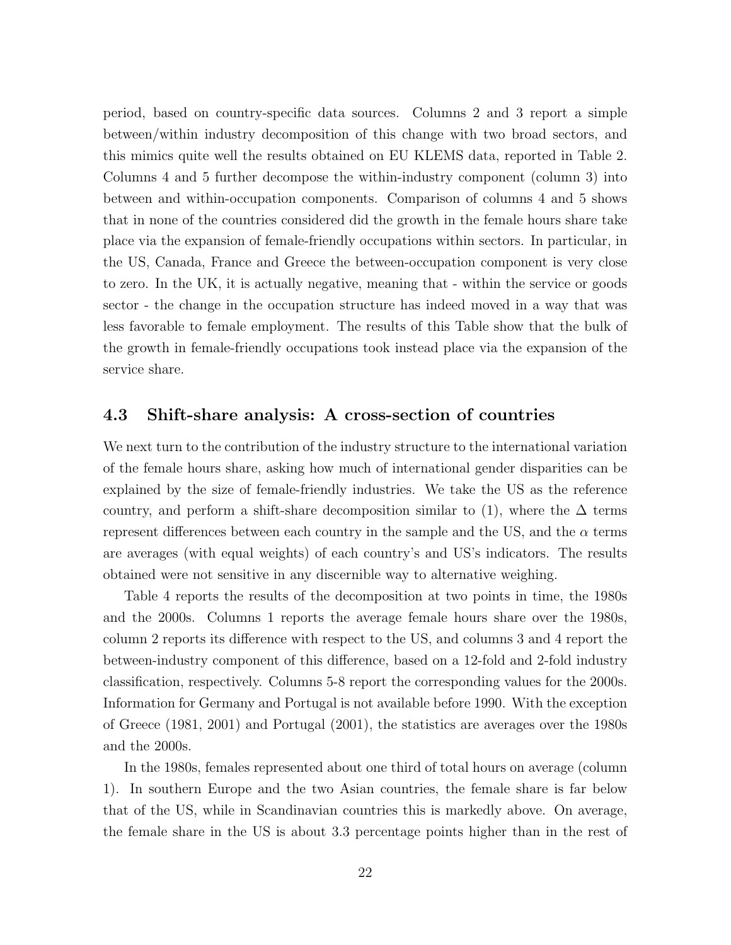period, based on country-specific data sources. Columns 2 and 3 report a simple between/within industry decomposition of this change with two broad sectors, and this mimics quite well the results obtained on EU KLEMS data, reported in Table 2. Columns 4 and 5 further decompose the within-industry component (column 3) into between and within-occupation components. Comparison of columns 4 and 5 shows that in none of the countries considered did the growth in the female hours share take place via the expansion of female-friendly occupations within sectors. In particular, in the US, Canada, France and Greece the between-occupation component is very close to zero. In the UK, it is actually negative, meaning that - within the service or goods sector - the change in the occupation structure has indeed moved in a way that was less favorable to female employment. The results of this Table show that the bulk of the growth in female-friendly occupations took instead place via the expansion of the service share.

#### 4.3 Shift-share analysis: A cross-section of countries

We next turn to the contribution of the industry structure to the international variation of the female hours share, asking how much of international gender disparities can be explained by the size of female-friendly industries. We take the US as the reference country, and perform a shift-share decomposition similar to (1), where the  $\Delta$  terms represent differences between each country in the sample and the US, and the  $\alpha$  terms are averages (with equal weights) of each country's and US's indicators. The results obtained were not sensitive in any discernible way to alternative weighing.

Table 4 reports the results of the decomposition at two points in time, the 1980s and the 2000s. Columns 1 reports the average female hours share over the 1980s, column 2 reports its difference with respect to the US, and columns 3 and 4 report the between-industry component of this difference, based on a 12-fold and 2-fold industry classification, respectively. Columns 5-8 report the corresponding values for the 2000s. Information for Germany and Portugal is not available before 1990. With the exception of Greece (1981, 2001) and Portugal (2001), the statistics are averages over the 1980s and the 2000s.

In the 1980s, females represented about one third of total hours on average (column 1). In southern Europe and the two Asian countries, the female share is far below that of the US, while in Scandinavian countries this is markedly above. On average, the female share in the US is about 3.3 percentage points higher than in the rest of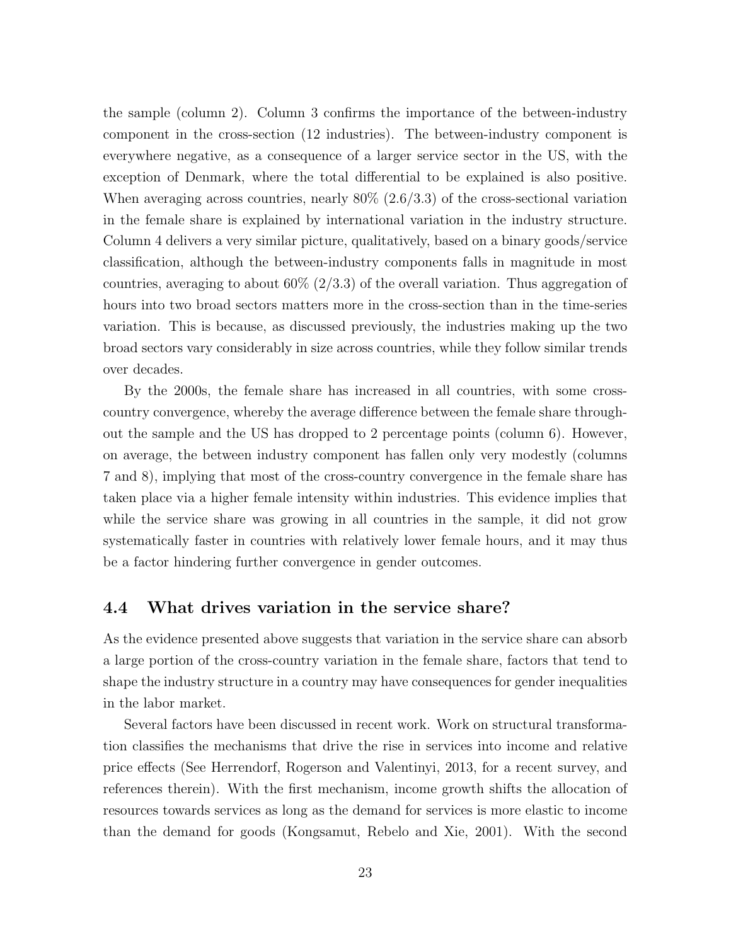the sample (column 2). Column 3 confirms the importance of the between-industry component in the cross-section (12 industries). The between-industry component is everywhere negative, as a consequence of a larger service sector in the US, with the exception of Denmark, where the total differential to be explained is also positive. When averaging across countries, nearly  $80\%$   $(2.6/3.3)$  of the cross-sectional variation in the female share is explained by international variation in the industry structure. Column 4 delivers a very similar picture, qualitatively, based on a binary goods/service classification, although the between-industry components falls in magnitude in most countries, averaging to about  $60\%$  (2/3.3) of the overall variation. Thus aggregation of hours into two broad sectors matters more in the cross-section than in the time-series variation. This is because, as discussed previously, the industries making up the two broad sectors vary considerably in size across countries, while they follow similar trends over decades.

By the 2000s, the female share has increased in all countries, with some crosscountry convergence, whereby the average difference between the female share throughout the sample and the US has dropped to 2 percentage points (column 6). However, on average, the between industry component has fallen only very modestly (columns 7 and 8), implying that most of the cross-country convergence in the female share has taken place via a higher female intensity within industries. This evidence implies that while the service share was growing in all countries in the sample, it did not grow systematically faster in countries with relatively lower female hours, and it may thus be a factor hindering further convergence in gender outcomes.

#### 4.4 What drives variation in the service share?

As the evidence presented above suggests that variation in the service share can absorb a large portion of the cross-country variation in the female share, factors that tend to shape the industry structure in a country may have consequences for gender inequalities in the labor market.

Several factors have been discussed in recent work. Work on structural transformation classifies the mechanisms that drive the rise in services into income and relative price effects (See Herrendorf, Rogerson and Valentinyi, 2013, for a recent survey, and references therein). With the first mechanism, income growth shifts the allocation of resources towards services as long as the demand for services is more elastic to income than the demand for goods (Kongsamut, Rebelo and Xie, 2001). With the second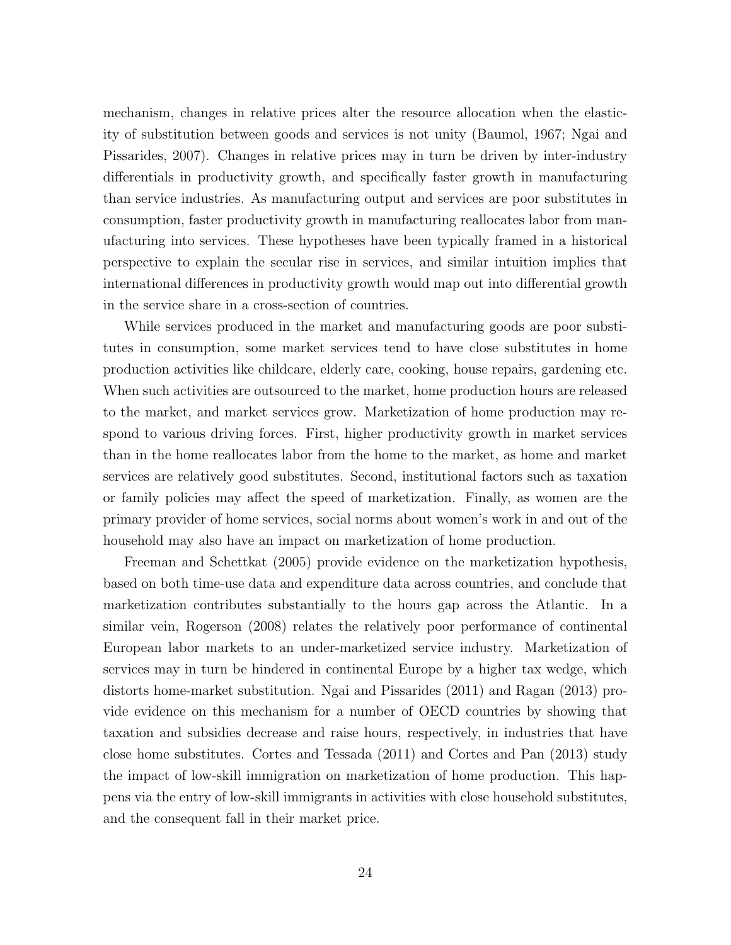mechanism, changes in relative prices alter the resource allocation when the elasticity of substitution between goods and services is not unity (Baumol, 1967; Ngai and Pissarides, 2007). Changes in relative prices may in turn be driven by inter-industry differentials in productivity growth, and specifically faster growth in manufacturing than service industries. As manufacturing output and services are poor substitutes in consumption, faster productivity growth in manufacturing reallocates labor from manufacturing into services. These hypotheses have been typically framed in a historical perspective to explain the secular rise in services, and similar intuition implies that international differences in productivity growth would map out into differential growth in the service share in a cross-section of countries.

While services produced in the market and manufacturing goods are poor substitutes in consumption, some market services tend to have close substitutes in home production activities like childcare, elderly care, cooking, house repairs, gardening etc. When such activities are outsourced to the market, home production hours are released to the market, and market services grow. Marketization of home production may respond to various driving forces. First, higher productivity growth in market services than in the home reallocates labor from the home to the market, as home and market services are relatively good substitutes. Second, institutional factors such as taxation or family policies may affect the speed of marketization. Finally, as women are the primary provider of home services, social norms about women's work in and out of the household may also have an impact on marketization of home production.

Freeman and Schettkat (2005) provide evidence on the marketization hypothesis, based on both time-use data and expenditure data across countries, and conclude that marketization contributes substantially to the hours gap across the Atlantic. In a similar vein, Rogerson (2008) relates the relatively poor performance of continental European labor markets to an under-marketized service industry. Marketization of services may in turn be hindered in continental Europe by a higher tax wedge, which distorts home-market substitution. Ngai and Pissarides (2011) and Ragan (2013) provide evidence on this mechanism for a number of OECD countries by showing that taxation and subsidies decrease and raise hours, respectively, in industries that have close home substitutes. Cortes and Tessada (2011) and Cortes and Pan (2013) study the impact of low-skill immigration on marketization of home production. This happens via the entry of low-skill immigrants in activities with close household substitutes, and the consequent fall in their market price.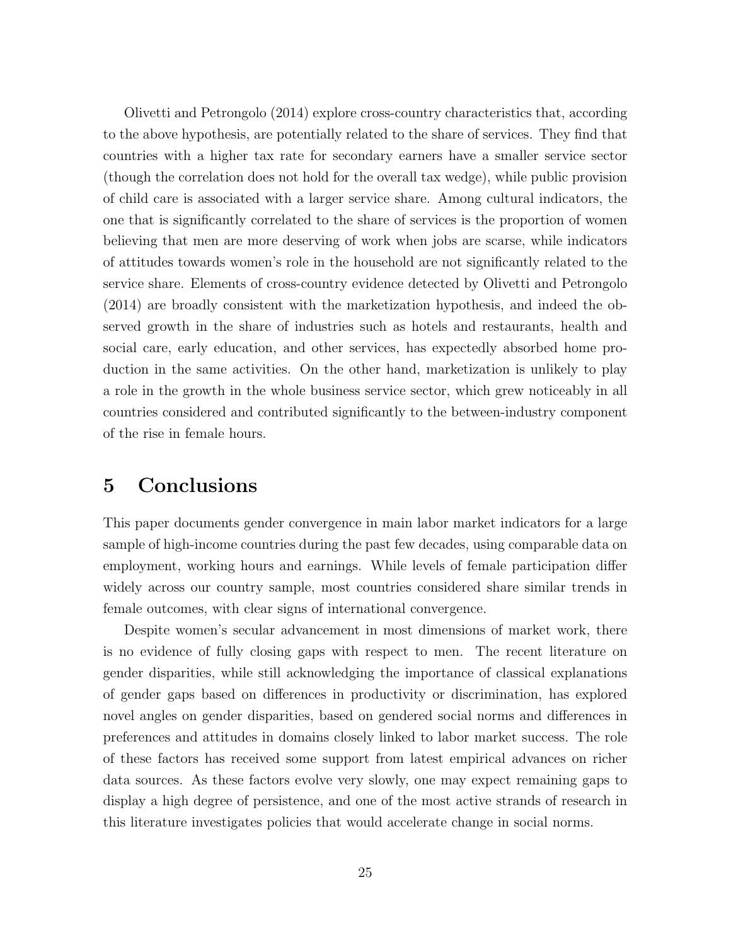Olivetti and Petrongolo (2014) explore cross-country characteristics that, according to the above hypothesis, are potentially related to the share of services. They find that countries with a higher tax rate for secondary earners have a smaller service sector (though the correlation does not hold for the overall tax wedge), while public provision of child care is associated with a larger service share. Among cultural indicators, the one that is significantly correlated to the share of services is the proportion of women believing that men are more deserving of work when jobs are scarse, while indicators of attitudes towards women's role in the household are not significantly related to the service share. Elements of cross-country evidence detected by Olivetti and Petrongolo (2014) are broadly consistent with the marketization hypothesis, and indeed the observed growth in the share of industries such as hotels and restaurants, health and social care, early education, and other services, has expectedly absorbed home production in the same activities. On the other hand, marketization is unlikely to play a role in the growth in the whole business service sector, which grew noticeably in all countries considered and contributed significantly to the between-industry component of the rise in female hours.

## 5 Conclusions

This paper documents gender convergence in main labor market indicators for a large sample of high-income countries during the past few decades, using comparable data on employment, working hours and earnings. While levels of female participation differ widely across our country sample, most countries considered share similar trends in female outcomes, with clear signs of international convergence.

Despite women's secular advancement in most dimensions of market work, there is no evidence of fully closing gaps with respect to men. The recent literature on gender disparities, while still acknowledging the importance of classical explanations of gender gaps based on differences in productivity or discrimination, has explored novel angles on gender disparities, based on gendered social norms and differences in preferences and attitudes in domains closely linked to labor market success. The role of these factors has received some support from latest empirical advances on richer data sources. As these factors evolve very slowly, one may expect remaining gaps to display a high degree of persistence, and one of the most active strands of research in this literature investigates policies that would accelerate change in social norms.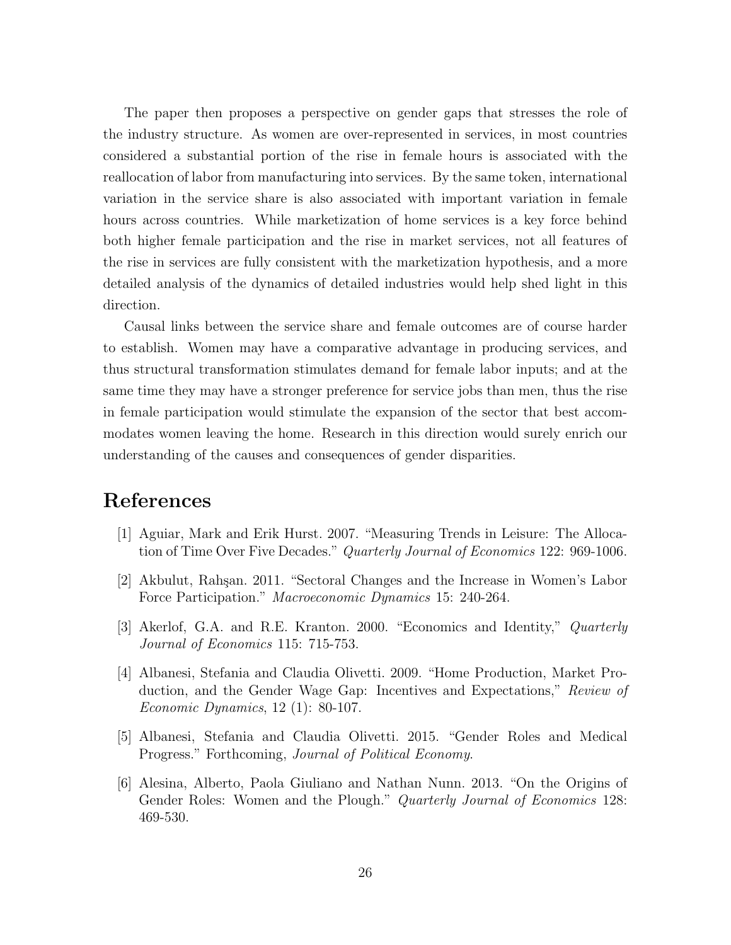The paper then proposes a perspective on gender gaps that stresses the role of the industry structure. As women are over-represented in services, in most countries considered a substantial portion of the rise in female hours is associated with the reallocation of labor from manufacturing into services. By the same token, international variation in the service share is also associated with important variation in female hours across countries. While marketization of home services is a key force behind both higher female participation and the rise in market services, not all features of the rise in services are fully consistent with the marketization hypothesis, and a more detailed analysis of the dynamics of detailed industries would help shed light in this direction.

Causal links between the service share and female outcomes are of course harder to establish. Women may have a comparative advantage in producing services, and thus structural transformation stimulates demand for female labor inputs; and at the same time they may have a stronger preference for service jobs than men, thus the rise in female participation would stimulate the expansion of the sector that best accommodates women leaving the home. Research in this direction would surely enrich our understanding of the causes and consequences of gender disparities.

# References

- [1] Aguiar, Mark and Erik Hurst. 2007. "Measuring Trends in Leisure: The Allocation of Time Over Five Decades." Quarterly Journal of Economics 122: 969-1006.
- [2] Akbulut, Rah¸san. 2011. "Sectoral Changes and the Increase in Women's Labor Force Participation." Macroeconomic Dynamics 15: 240-264.
- [3] Akerlof, G.A. and R.E. Kranton. 2000. "Economics and Identity," Quarterly Journal of Economics 115: 715-753.
- [4] Albanesi, Stefania and Claudia Olivetti. 2009. "Home Production, Market Production, and the Gender Wage Gap: Incentives and Expectations," Review of Economic Dynamics, 12 (1): 80-107.
- [5] Albanesi, Stefania and Claudia Olivetti. 2015. "Gender Roles and Medical Progress." Forthcoming, Journal of Political Economy.
- [6] Alesina, Alberto, Paola Giuliano and Nathan Nunn. 2013. "On the Origins of Gender Roles: Women and the Plough." *Quarterly Journal of Economics* 128: 469-530.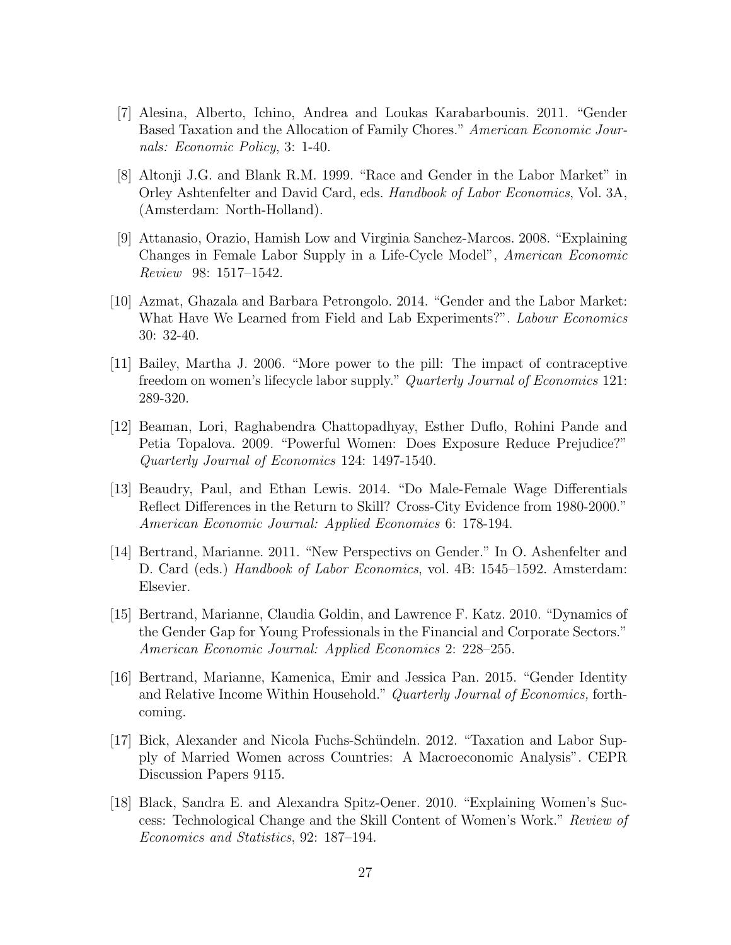- [7] Alesina, Alberto, Ichino, Andrea and Loukas Karabarbounis. 2011. "Gender Based Taxation and the Allocation of Family Chores." American Economic Journals: Economic Policy, 3: 1-40.
- [8] Altonji J.G. and Blank R.M. 1999. "Race and Gender in the Labor Market" in Orley Ashtenfelter and David Card, eds. Handbook of Labor Economics, Vol. 3A, (Amsterdam: North-Holland).
- [9] Attanasio, Orazio, Hamish Low and Virginia Sanchez-Marcos. 2008. "Explaining Changes in Female Labor Supply in a Life-Cycle Model", American Economic Review 98: 1517–1542.
- [10] Azmat, Ghazala and Barbara Petrongolo. 2014. "Gender and the Labor Market: What Have We Learned from Field and Lab Experiments?". Labour Economics 30: 32-40.
- [11] Bailey, Martha J. 2006. "More power to the pill: The impact of contraceptive freedom on women's lifecycle labor supply." Quarterly Journal of Economics 121: 289-320.
- [12] Beaman, Lori, Raghabendra Chattopadhyay, Esther Duflo, Rohini Pande and Petia Topalova. 2009. "Powerful Women: Does Exposure Reduce Prejudice?" Quarterly Journal of Economics 124: 1497-1540.
- [13] Beaudry, Paul, and Ethan Lewis. 2014. "Do Male-Female Wage Differentials Reflect Differences in the Return to Skill? Cross-City Evidence from 1980-2000." American Economic Journal: Applied Economics 6: 178-194.
- [14] Bertrand, Marianne. 2011. "New Perspectivs on Gender." In O. Ashenfelter and D. Card (eds.) *Handbook of Labor Economics*, vol. 4B: 1545–1592. Amsterdam: Elsevier.
- [15] Bertrand, Marianne, Claudia Goldin, and Lawrence F. Katz. 2010. "Dynamics of the Gender Gap for Young Professionals in the Financial and Corporate Sectors." American Economic Journal: Applied Economics 2: 228–255.
- [16] Bertrand, Marianne, Kamenica, Emir and Jessica Pan. 2015. "Gender Identity and Relative Income Within Household." Quarterly Journal of Economics, forthcoming.
- [17] Bick, Alexander and Nicola Fuchs-Sch¨undeln. 2012. "Taxation and Labor Supply of Married Women across Countries: A Macroeconomic Analysis". CEPR Discussion Papers 9115.
- [18] Black, Sandra E. and Alexandra Spitz-Oener. 2010. "Explaining Women's Success: Technological Change and the Skill Content of Women's Work." Review of Economics and Statistics, 92: 187–194.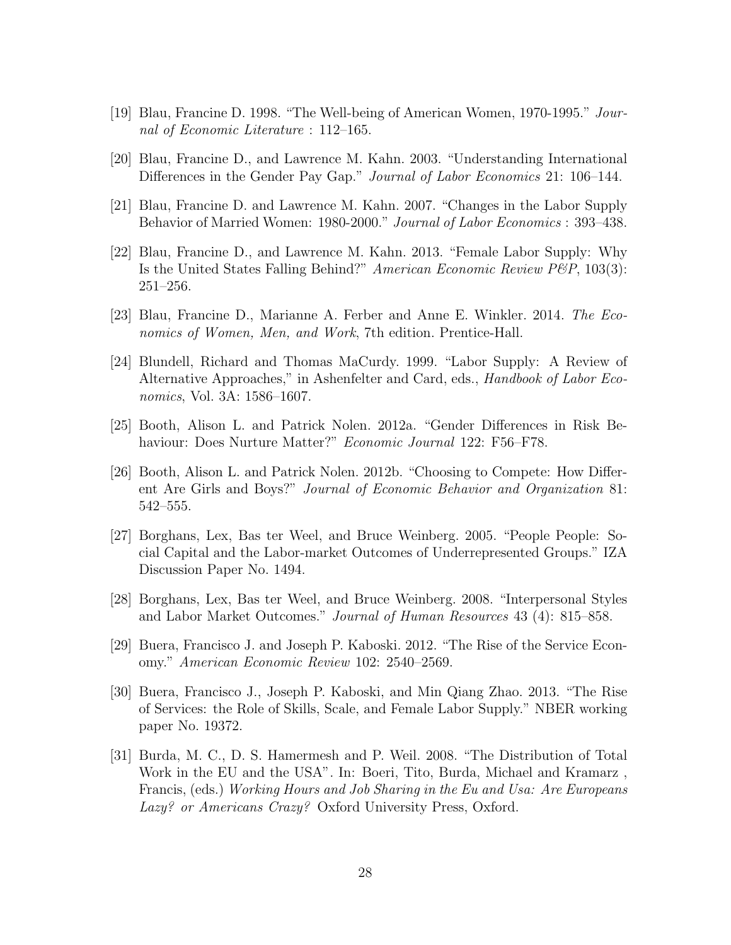- [19] Blau, Francine D. 1998. "The Well-being of American Women, 1970-1995." Journal of Economic Literature : 112–165.
- [20] Blau, Francine D., and Lawrence M. Kahn. 2003. "Understanding International Differences in the Gender Pay Gap." *Journal of Labor Economics* 21: 106–144.
- [21] Blau, Francine D. and Lawrence M. Kahn. 2007. "Changes in the Labor Supply Behavior of Married Women: 1980-2000." Journal of Labor Economics : 393–438.
- [22] Blau, Francine D., and Lawrence M. Kahn. 2013. "Female Labor Supply: Why Is the United States Falling Behind?" American Economic Review P&P, 103(3): 251–256.
- [23] Blau, Francine D., Marianne A. Ferber and Anne E. Winkler. 2014. The Economics of Women, Men, and Work, 7th edition. Prentice-Hall.
- [24] Blundell, Richard and Thomas MaCurdy. 1999. "Labor Supply: A Review of Alternative Approaches," in Ashenfelter and Card, eds., Handbook of Labor Economics, Vol. 3A: 1586–1607.
- [25] Booth, Alison L. and Patrick Nolen. 2012a. "Gender Differences in Risk Behaviour: Does Nurture Matter?" Economic Journal 122: F56–F78.
- [26] Booth, Alison L. and Patrick Nolen. 2012b. "Choosing to Compete: How Different Are Girls and Boys?" Journal of Economic Behavior and Organization 81: 542–555.
- [27] Borghans, Lex, Bas ter Weel, and Bruce Weinberg. 2005. "People People: Social Capital and the Labor-market Outcomes of Underrepresented Groups." IZA Discussion Paper No. 1494.
- [28] Borghans, Lex, Bas ter Weel, and Bruce Weinberg. 2008. "Interpersonal Styles and Labor Market Outcomes." Journal of Human Resources 43 (4): 815–858.
- [29] Buera, Francisco J. and Joseph P. Kaboski. 2012. "The Rise of the Service Economy." American Economic Review 102: 2540–2569.
- [30] Buera, Francisco J., Joseph P. Kaboski, and Min Qiang Zhao. 2013. "The Rise of Services: the Role of Skills, Scale, and Female Labor Supply." NBER working paper No. 19372.
- [31] Burda, M. C., D. S. Hamermesh and P. Weil. 2008. "The Distribution of Total Work in the EU and the USA". In: Boeri, Tito, Burda, Michael and Kramarz , Francis, (eds.) Working Hours and Job Sharing in the Eu and Usa: Are Europeans Lazy? or Americans Crazy? Oxford University Press, Oxford.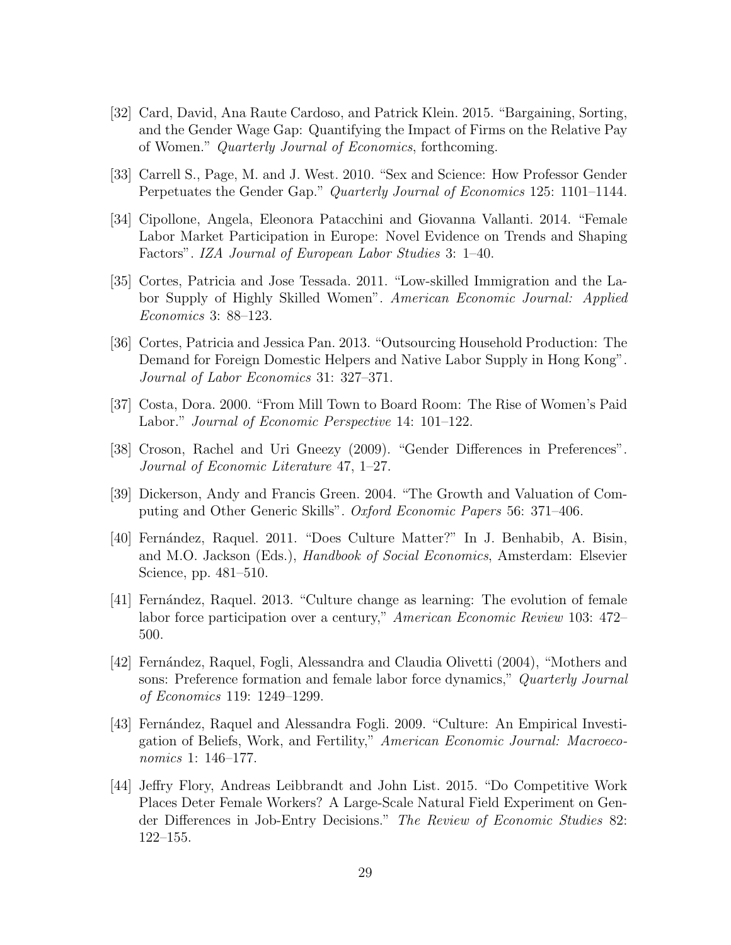- [32] Card, David, Ana Raute Cardoso, and Patrick Klein. 2015. "Bargaining, Sorting, and the Gender Wage Gap: Quantifying the Impact of Firms on the Relative Pay of Women." Quarterly Journal of Economics, forthcoming.
- [33] Carrell S., Page, M. and J. West. 2010. "Sex and Science: How Professor Gender Perpetuates the Gender Gap." Quarterly Journal of Economics 125: 1101–1144.
- [34] Cipollone, Angela, Eleonora Patacchini and Giovanna Vallanti. 2014. "Female Labor Market Participation in Europe: Novel Evidence on Trends and Shaping Factors". IZA Journal of European Labor Studies 3: 1–40.
- [35] Cortes, Patricia and Jose Tessada. 2011. "Low-skilled Immigration and the Labor Supply of Highly Skilled Women". American Economic Journal: Applied Economics 3: 88–123.
- [36] Cortes, Patricia and Jessica Pan. 2013. "Outsourcing Household Production: The Demand for Foreign Domestic Helpers and Native Labor Supply in Hong Kong". Journal of Labor Economics 31: 327–371.
- [37] Costa, Dora. 2000. "From Mill Town to Board Room: The Rise of Women's Paid Labor." Journal of Economic Perspective 14: 101–122.
- [38] Croson, Rachel and Uri Gneezy (2009). "Gender Differences in Preferences". Journal of Economic Literature 47, 1–27.
- [39] Dickerson, Andy and Francis Green. 2004. "The Growth and Valuation of Computing and Other Generic Skills". Oxford Economic Papers 56: 371-406.
- [40] Fernández, Raquel. 2011. "Does Culture Matter?" In J. Benhabib, A. Bisin, and M.O. Jackson (Eds.), *Handbook of Social Economics*, Amsterdam: Elsevier Science, pp. 481–510.
- [41] Fernández, Raquel. 2013. "Culture change as learning: The evolution of female labor force participation over a century," American Economic Review 103: 472– 500.
- [42] Fernández, Raquel, Fogli, Alessandra and Claudia Olivetti (2004), "Mothers and sons: Preference formation and female labor force dynamics," Quarterly Journal of Economics 119: 1249–1299.
- [43] Fernández, Raquel and Alessandra Fogli. 2009. "Culture: An Empirical Investigation of Beliefs, Work, and Fertility," American Economic Journal: Macroeconomics 1: 146–177.
- [44] Jeffry Flory, Andreas Leibbrandt and John List. 2015. "Do Competitive Work Places Deter Female Workers? A Large-Scale Natural Field Experiment on Gender Differences in Job-Entry Decisions." The Review of Economic Studies 82: 122–155.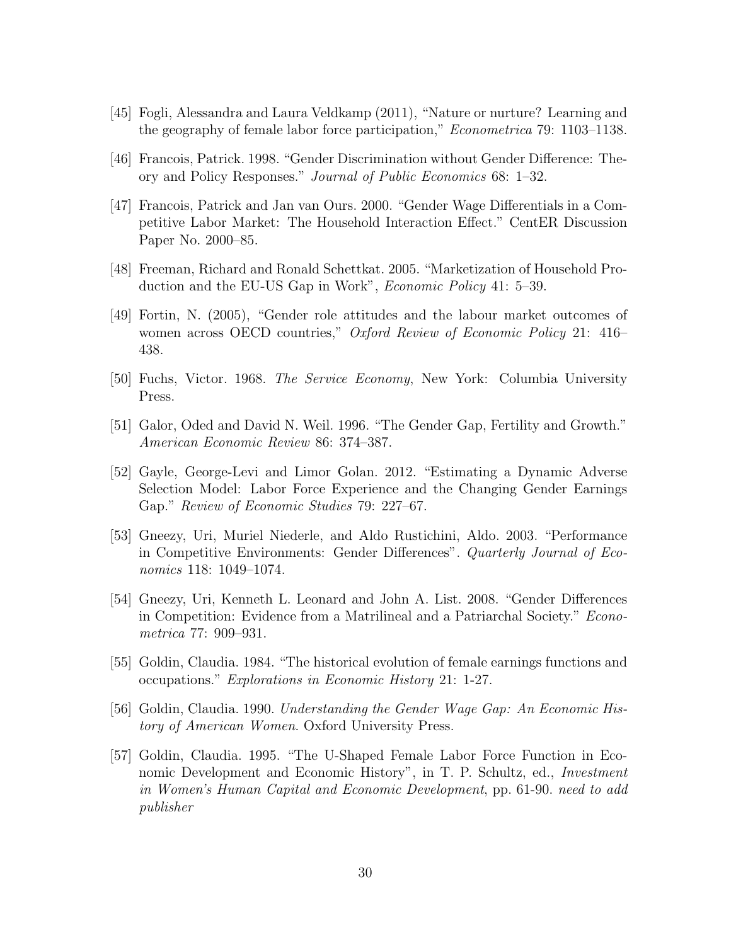- [45] Fogli, Alessandra and Laura Veldkamp (2011), "Nature or nurture? Learning and the geography of female labor force participation," Econometrica 79: 1103–1138.
- [46] Francois, Patrick. 1998. "Gender Discrimination without Gender Difference: Theory and Policy Responses." Journal of Public Economics 68: 1–32.
- [47] Francois, Patrick and Jan van Ours. 2000. "Gender Wage Differentials in a Competitive Labor Market: The Household Interaction Effect." CentER Discussion Paper No. 2000–85.
- [48] Freeman, Richard and Ronald Schettkat. 2005. "Marketization of Household Production and the EU-US Gap in Work", Economic Policy 41: 5–39.
- [49] Fortin, N. (2005), "Gender role attitudes and the labour market outcomes of women across OECD countries," *Oxford Review of Economic Policy* 21: 416– 438.
- [50] Fuchs, Victor. 1968. The Service Economy, New York: Columbia University Press.
- [51] Galor, Oded and David N. Weil. 1996. "The Gender Gap, Fertility and Growth." American Economic Review 86: 374–387.
- [52] Gayle, George-Levi and Limor Golan. 2012. "Estimating a Dynamic Adverse Selection Model: Labor Force Experience and the Changing Gender Earnings Gap." Review of Economic Studies 79: 227–67.
- [53] Gneezy, Uri, Muriel Niederle, and Aldo Rustichini, Aldo. 2003. "Performance in Competitive Environments: Gender Differences". Quarterly Journal of Economics 118: 1049–1074.
- [54] Gneezy, Uri, Kenneth L. Leonard and John A. List. 2008. "Gender Differences in Competition: Evidence from a Matrilineal and a Patriarchal Society." Econometrica 77: 909–931.
- [55] Goldin, Claudia. 1984. "The historical evolution of female earnings functions and occupations." Explorations in Economic History 21: 1-27.
- [56] Goldin, Claudia. 1990. Understanding the Gender Wage Gap: An Economic History of American Women. Oxford University Press.
- [57] Goldin, Claudia. 1995. "The U-Shaped Female Labor Force Function in Economic Development and Economic History", in T. P. Schultz, ed., *Investment* in Women's Human Capital and Economic Development, pp. 61-90. need to add publisher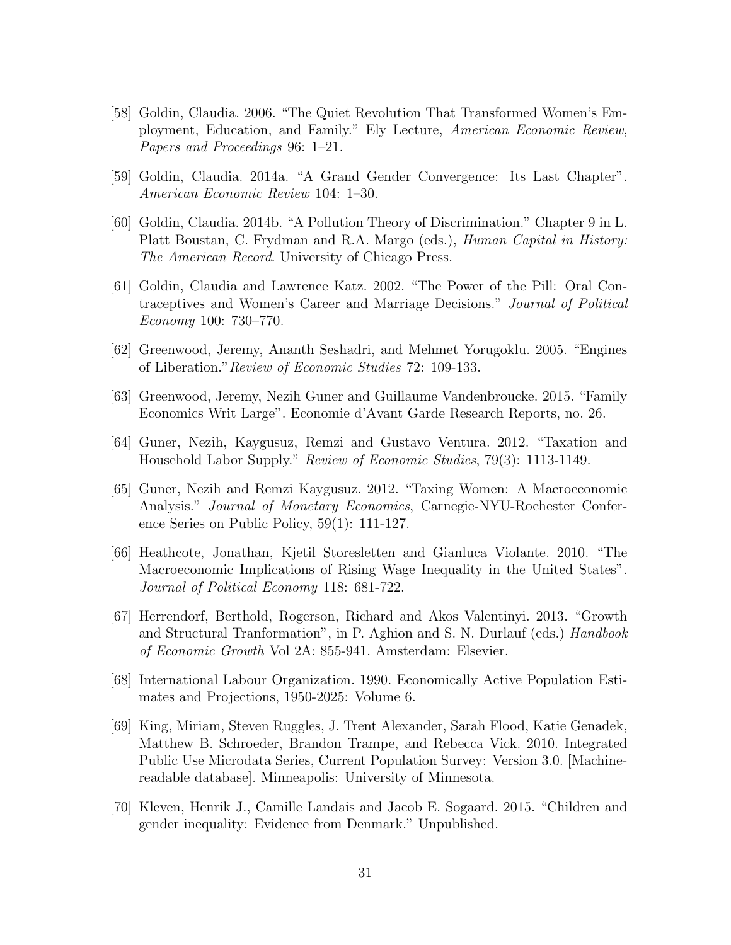- [58] Goldin, Claudia. 2006. "The Quiet Revolution That Transformed Women's Employment, Education, and Family." Ely Lecture, American Economic Review, Papers and Proceedings 96: 1–21.
- [59] Goldin, Claudia. 2014a. "A Grand Gender Convergence: Its Last Chapter". American Economic Review 104: 1–30.
- [60] Goldin, Claudia. 2014b. "A Pollution Theory of Discrimination." Chapter 9 in L. Platt Boustan, C. Frydman and R.A. Margo (eds.), *Human Capital in History:* The American Record. University of Chicago Press.
- [61] Goldin, Claudia and Lawrence Katz. 2002. "The Power of the Pill: Oral Contraceptives and Women's Career and Marriage Decisions." Journal of Political Economy 100: 730–770.
- [62] Greenwood, Jeremy, Ananth Seshadri, and Mehmet Yorugoklu. 2005. "Engines of Liberation."Review of Economic Studies 72: 109-133.
- [63] Greenwood, Jeremy, Nezih Guner and Guillaume Vandenbroucke. 2015. "Family Economics Writ Large". Economie d'Avant Garde Research Reports, no. 26.
- [64] Guner, Nezih, Kaygusuz, Remzi and Gustavo Ventura. 2012. "Taxation and Household Labor Supply." Review of Economic Studies, 79(3): 1113-1149.
- [65] Guner, Nezih and Remzi Kaygusuz. 2012. "Taxing Women: A Macroeconomic Analysis." Journal of Monetary Economics, Carnegie-NYU-Rochester Conference Series on Public Policy, 59(1): 111-127.
- [66] Heathcote, Jonathan, Kjetil Storesletten and Gianluca Violante. 2010. "The Macroeconomic Implications of Rising Wage Inequality in the United States". Journal of Political Economy 118: 681-722.
- [67] Herrendorf, Berthold, Rogerson, Richard and Akos Valentinyi. 2013. "Growth and Structural Tranformation", in P. Aghion and S. N. Durlauf (eds.) *Handbook* of Economic Growth Vol 2A: 855-941. Amsterdam: Elsevier.
- [68] International Labour Organization. 1990. Economically Active Population Estimates and Projections, 1950-2025: Volume 6.
- [69] King, Miriam, Steven Ruggles, J. Trent Alexander, Sarah Flood, Katie Genadek, Matthew B. Schroeder, Brandon Trampe, and Rebecca Vick. 2010. Integrated Public Use Microdata Series, Current Population Survey: Version 3.0. [Machinereadable database]. Minneapolis: University of Minnesota.
- [70] Kleven, Henrik J., Camille Landais and Jacob E. Sogaard. 2015. "Children and gender inequality: Evidence from Denmark." Unpublished.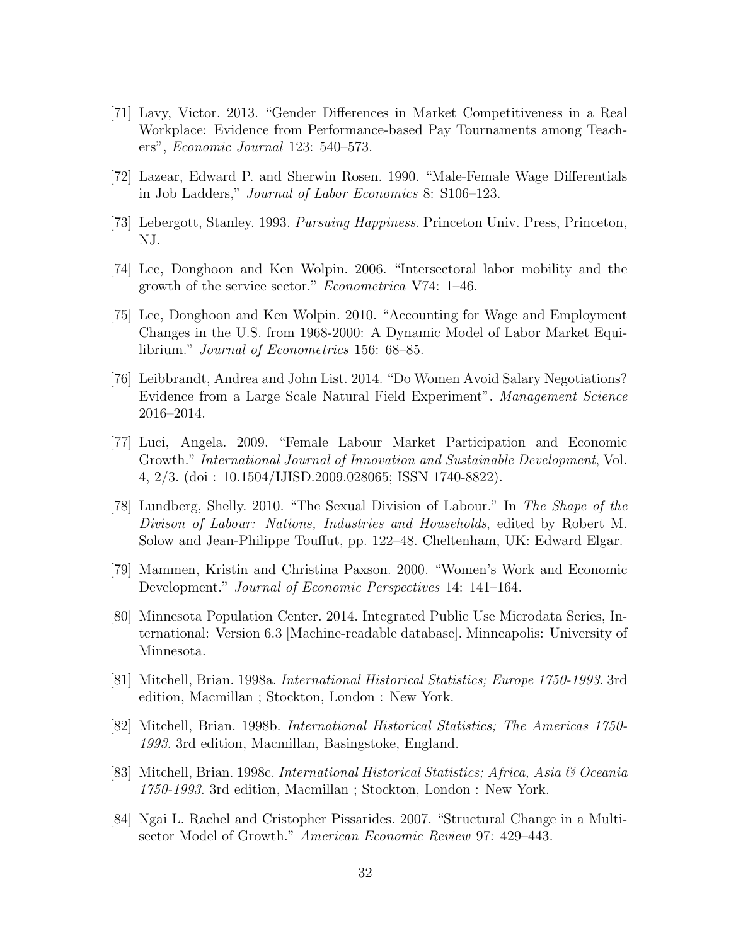- [71] Lavy, Victor. 2013. "Gender Differences in Market Competitiveness in a Real Workplace: Evidence from Performance-based Pay Tournaments among Teachers", Economic Journal 123: 540–573.
- [72] Lazear, Edward P. and Sherwin Rosen. 1990. "Male-Female Wage Differentials in Job Ladders," Journal of Labor Economics 8: S106–123.
- [73] Lebergott, Stanley. 1993. Pursuing Happiness. Princeton Univ. Press, Princeton, NJ.
- [74] Lee, Donghoon and Ken Wolpin. 2006. "Intersectoral labor mobility and the growth of the service sector." Econometrica V74: 1–46.
- [75] Lee, Donghoon and Ken Wolpin. 2010. "Accounting for Wage and Employment Changes in the U.S. from 1968-2000: A Dynamic Model of Labor Market Equilibrium." Journal of Econometrics 156: 68–85.
- [76] Leibbrandt, Andrea and John List. 2014. "Do Women Avoid Salary Negotiations? Evidence from a Large Scale Natural Field Experiment". Management Science 2016–2014.
- [77] Luci, Angela. 2009. "Female Labour Market Participation and Economic Growth." International Journal of Innovation and Sustainable Development, Vol. 4, 2/3. (doi : 10.1504/IJISD.2009.028065; ISSN 1740-8822).
- [78] Lundberg, Shelly. 2010. "The Sexual Division of Labour." In The Shape of the Divison of Labour: Nations, Industries and Households, edited by Robert M. Solow and Jean-Philippe Touffut, pp. 122–48. Cheltenham, UK: Edward Elgar.
- [79] Mammen, Kristin and Christina Paxson. 2000. "Women's Work and Economic Development." Journal of Economic Perspectives 14: 141–164.
- [80] Minnesota Population Center. 2014. Integrated Public Use Microdata Series, International: Version 6.3 [Machine-readable database]. Minneapolis: University of Minnesota.
- [81] Mitchell, Brian. 1998a. International Historical Statistics; Europe 1750-1993. 3rd edition, Macmillan ; Stockton, London : New York.
- [82] Mitchell, Brian. 1998b. International Historical Statistics; The Americas 1750- 1993. 3rd edition, Macmillan, Basingstoke, England.
- [83] Mitchell, Brian. 1998c. International Historical Statistics; Africa, Asia & Oceania 1750-1993. 3rd edition, Macmillan ; Stockton, London : New York.
- [84] Ngai L. Rachel and Cristopher Pissarides. 2007. "Structural Change in a Multisector Model of Growth." American Economic Review 97: 429–443.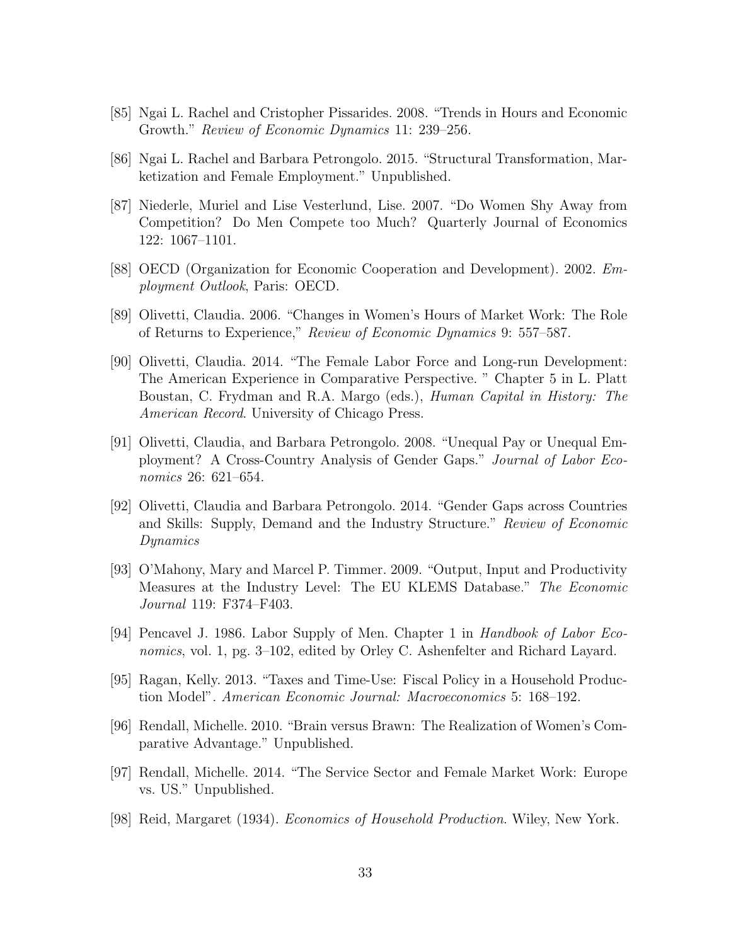- [85] Ngai L. Rachel and Cristopher Pissarides. 2008. "Trends in Hours and Economic Growth." Review of Economic Dynamics 11: 239–256.
- [86] Ngai L. Rachel and Barbara Petrongolo. 2015. "Structural Transformation, Marketization and Female Employment." Unpublished.
- [87] Niederle, Muriel and Lise Vesterlund, Lise. 2007. "Do Women Shy Away from Competition? Do Men Compete too Much? Quarterly Journal of Economics 122: 1067–1101.
- [88] OECD (Organization for Economic Cooperation and Development). 2002. Employment Outlook, Paris: OECD.
- [89] Olivetti, Claudia. 2006. "Changes in Women's Hours of Market Work: The Role of Returns to Experience," Review of Economic Dynamics 9: 557–587.
- [90] Olivetti, Claudia. 2014. "The Female Labor Force and Long-run Development: The American Experience in Comparative Perspective. " Chapter 5 in L. Platt Boustan, C. Frydman and R.A. Margo (eds.), Human Capital in History: The American Record. University of Chicago Press.
- [91] Olivetti, Claudia, and Barbara Petrongolo. 2008. "Unequal Pay or Unequal Employment? A Cross-Country Analysis of Gender Gaps." Journal of Labor Economics 26: 621–654.
- [92] Olivetti, Claudia and Barbara Petrongolo. 2014. "Gender Gaps across Countries and Skills: Supply, Demand and the Industry Structure." Review of Economic Dynamics
- [93] O'Mahony, Mary and Marcel P. Timmer. 2009. "Output, Input and Productivity Measures at the Industry Level: The EU KLEMS Database." The Economic Journal 119: F374–F403.
- [94] Pencavel J. 1986. Labor Supply of Men. Chapter 1 in Handbook of Labor Economics, vol. 1, pg. 3–102, edited by Orley C. Ashenfelter and Richard Layard.
- [95] Ragan, Kelly. 2013. "Taxes and Time-Use: Fiscal Policy in a Household Production Model". American Economic Journal: Macroeconomics 5: 168–192.
- [96] Rendall, Michelle. 2010. "Brain versus Brawn: The Realization of Women's Comparative Advantage." Unpublished.
- [97] Rendall, Michelle. 2014. "The Service Sector and Female Market Work: Europe vs. US." Unpublished.
- [98] Reid, Margaret (1934). Economics of Household Production. Wiley, New York.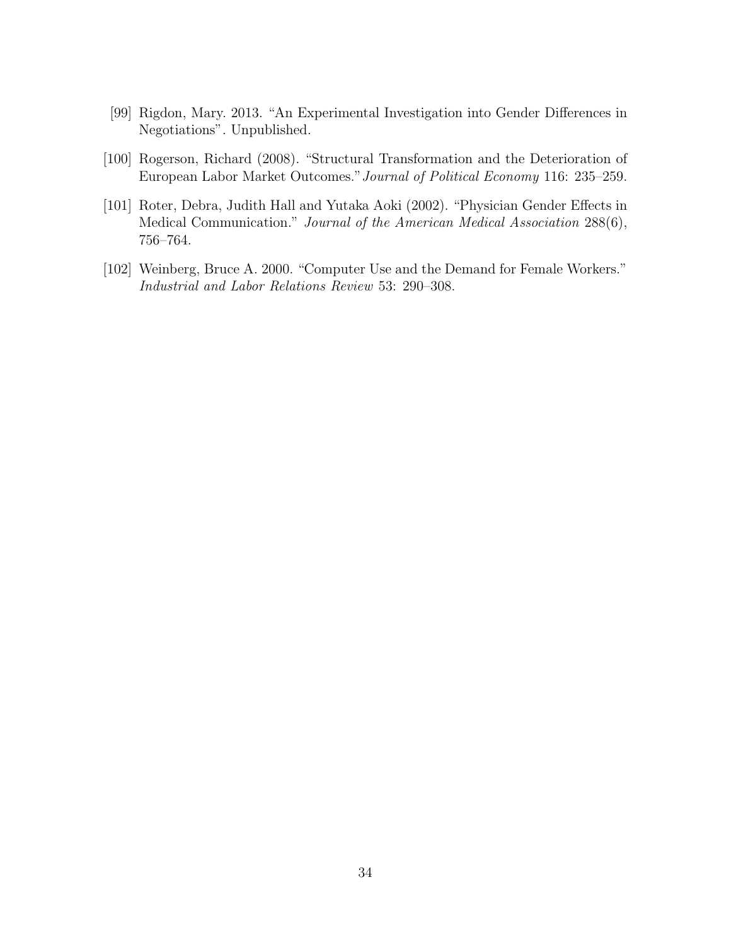- [99] Rigdon, Mary. 2013. "An Experimental Investigation into Gender Differences in Negotiations". Unpublished.
- [100] Rogerson, Richard (2008). "Structural Transformation and the Deterioration of European Labor Market Outcomes."Journal of Political Economy 116: 235–259.
- [101] Roter, Debra, Judith Hall and Yutaka Aoki (2002). "Physician Gender Effects in Medical Communication." Journal of the American Medical Association 288(6), 756–764.
- [102] Weinberg, Bruce A. 2000. "Computer Use and the Demand for Female Workers." Industrial and Labor Relations Review 53: 290–308.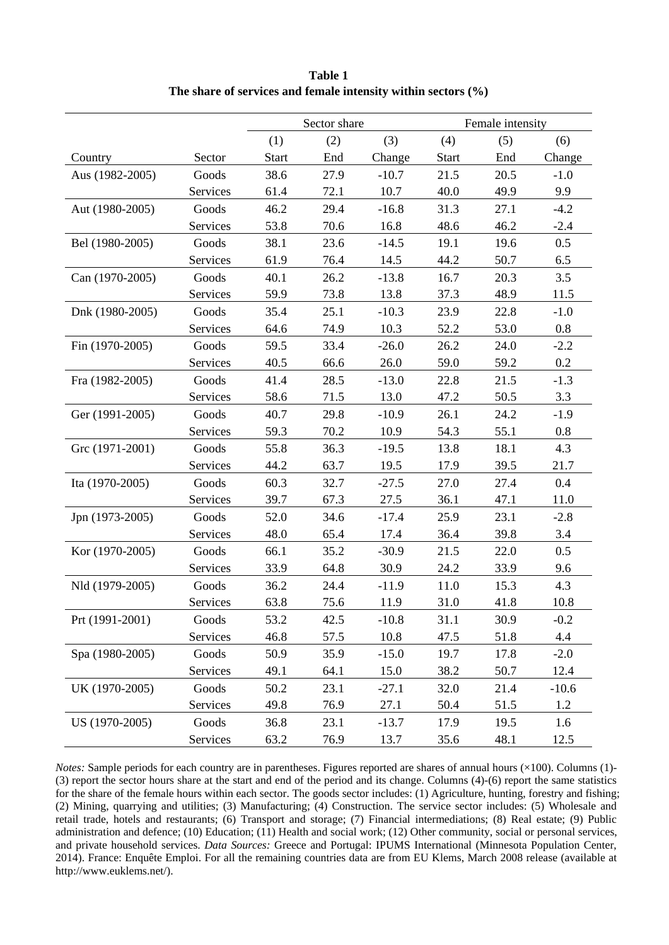|                 |          |              | Sector share |         | Female intensity |      |         |  |
|-----------------|----------|--------------|--------------|---------|------------------|------|---------|--|
|                 |          | (1)          | (2)          | (3)     | (4)              | (5)  | (6)     |  |
| Country         | Sector   | <b>Start</b> | End          | Change  | <b>Start</b>     | End  | Change  |  |
| Aus (1982-2005) | Goods    | 38.6         | 27.9         | $-10.7$ | 21.5             | 20.5 | $-1.0$  |  |
|                 | Services | 61.4         | 72.1         | 10.7    | 40.0             | 49.9 | 9.9     |  |
| Aut (1980-2005) | Goods    | 46.2         | 29.4         | $-16.8$ | 31.3             | 27.1 | $-4.2$  |  |
|                 | Services | 53.8         | 70.6         | 16.8    | 48.6             | 46.2 | $-2.4$  |  |
| Bel (1980-2005) | Goods    | 38.1         | 23.6         | $-14.5$ | 19.1             | 19.6 | 0.5     |  |
|                 | Services | 61.9         | 76.4         | 14.5    | 44.2             | 50.7 | 6.5     |  |
| Can (1970-2005) | Goods    | 40.1         | 26.2         | $-13.8$ | 16.7             | 20.3 | 3.5     |  |
|                 | Services | 59.9         | 73.8         | 13.8    | 37.3             | 48.9 | 11.5    |  |
| Dnk (1980-2005) | Goods    | 35.4         | 25.1         | $-10.3$ | 23.9             | 22.8 | $-1.0$  |  |
|                 | Services | 64.6         | 74.9         | 10.3    | 52.2             | 53.0 | 0.8     |  |
| Fin (1970-2005) | Goods    | 59.5         | 33.4         | $-26.0$ | 26.2             | 24.0 | $-2.2$  |  |
|                 | Services | 40.5         | 66.6         | 26.0    | 59.0             | 59.2 | 0.2     |  |
| Fra (1982-2005) | Goods    | 41.4         | 28.5         | $-13.0$ | 22.8             | 21.5 | $-1.3$  |  |
|                 | Services | 58.6         | 71.5         | 13.0    | 47.2             | 50.5 | 3.3     |  |
| Ger (1991-2005) | Goods    | 40.7         | 29.8         | $-10.9$ | 26.1             | 24.2 | $-1.9$  |  |
|                 | Services | 59.3         | 70.2         | 10.9    | 54.3             | 55.1 | 0.8     |  |
| Grc (1971-2001) | Goods    | 55.8         | 36.3         | $-19.5$ | 13.8             | 18.1 | 4.3     |  |
|                 | Services | 44.2         | 63.7         | 19.5    | 17.9             | 39.5 | 21.7    |  |
| Ita (1970-2005) | Goods    | 60.3         | 32.7         | $-27.5$ | 27.0             | 27.4 | 0.4     |  |
|                 | Services | 39.7         | 67.3         | 27.5    | 36.1             | 47.1 | 11.0    |  |
| Jpn (1973-2005) | Goods    | 52.0         | 34.6         | $-17.4$ | 25.9             | 23.1 | $-2.8$  |  |
|                 | Services | 48.0         | 65.4         | 17.4    | 36.4             | 39.8 | 3.4     |  |
| Kor (1970-2005) | Goods    | 66.1         | 35.2         | $-30.9$ | 21.5             | 22.0 | 0.5     |  |
|                 | Services | 33.9         | 64.8         | 30.9    | 24.2             | 33.9 | 9.6     |  |
| Nld (1979-2005) | Goods    | 36.2         | 24.4         | $-11.9$ | 11.0             | 15.3 | 4.3     |  |
|                 | Services | 63.8         | 75.6         | 11.9    | 31.0             | 41.8 | 10.8    |  |
| Prt (1991-2001) | Goods    | 53.2         | 42.5         | $-10.8$ | 31.1             | 30.9 | $-0.2$  |  |
|                 | Services | 46.8         | 57.5         | 10.8    | 47.5             | 51.8 | 4.4     |  |
| Spa (1980-2005) | Goods    | 50.9         | 35.9         | $-15.0$ | 19.7             | 17.8 | $-2.0$  |  |
|                 | Services | 49.1         | 64.1         | 15.0    | 38.2             | 50.7 | 12.4    |  |
| UK (1970-2005)  | Goods    | 50.2         | 23.1         | $-27.1$ | 32.0             | 21.4 | $-10.6$ |  |
|                 | Services | 49.8         | 76.9         | 27.1    | 50.4             | 51.5 | 1.2     |  |
| US (1970-2005)  | Goods    | 36.8         | 23.1         | $-13.7$ | 17.9             | 19.5 | 1.6     |  |
|                 | Services | 63.2         | 76.9         | 13.7    | 35.6             | 48.1 | 12.5    |  |

**Table 1 The share of services and female intensity within sectors (%)** 

*Notes:* Sample periods for each country are in parentheses. Figures reported are shares of annual hours ( $\times$ 100). Columns (1)-(3) report the sector hours share at the start and end of the period and its change. Columns (4)-(6) report the same statistics for the share of the female hours within each sector. The goods sector includes: (1) Agriculture, hunting, forestry and fishing; (2) Mining, quarrying and utilities; (3) Manufacturing; (4) Construction. The service sector includes: (5) Wholesale and retail trade, hotels and restaurants; (6) Transport and storage; (7) Financial intermediations; (8) Real estate; (9) Public administration and defence; (10) Education; (11) Health and social work; (12) Other community, social or personal services, and private household services. *Data Sources:* Greece and Portugal: IPUMS International (Minnesota Population Center, 2014). France: Enquête Emploi. For all the remaining countries data are from EU Klems, March 2008 release (available at http://www.euklems.net/).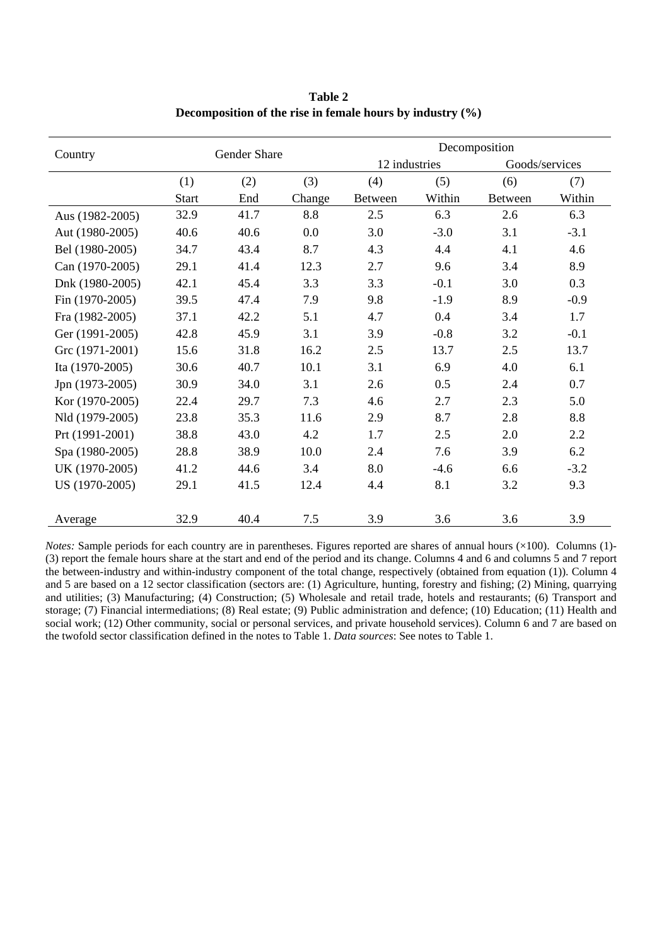|                 |              | <b>Gender Share</b> |        | Decomposition  |        |                |        |  |  |  |
|-----------------|--------------|---------------------|--------|----------------|--------|----------------|--------|--|--|--|
| Country         |              |                     |        | 12 industries  |        | Goods/services |        |  |  |  |
|                 | (1)          | (2)                 | (3)    | (4)            | (5)    | (6)            | (7)    |  |  |  |
|                 | <b>Start</b> | End                 | Change | <b>Between</b> | Within | <b>Between</b> | Within |  |  |  |
| Aus (1982-2005) | 32.9         | 41.7                | 8.8    | 2.5            | 6.3    | 2.6            | 6.3    |  |  |  |
| Aut (1980-2005) | 40.6         | 40.6                | 0.0    | 3.0            | $-3.0$ | 3.1            | $-3.1$ |  |  |  |
| Bel (1980-2005) | 34.7         | 43.4                | 8.7    | 4.3            | 4.4    | 4.1            | 4.6    |  |  |  |
| Can (1970-2005) | 29.1         | 41.4                | 12.3   | 2.7            | 9.6    | 3.4            | 8.9    |  |  |  |
| Dnk (1980-2005) | 42.1         | 45.4                | 3.3    | 3.3            | $-0.1$ | 3.0            | 0.3    |  |  |  |
| Fin (1970-2005) | 39.5         | 47.4                | 7.9    | 9.8            | $-1.9$ | 8.9            | $-0.9$ |  |  |  |
| Fra (1982-2005) | 37.1         | 42.2                | 5.1    | 4.7            | 0.4    | 3.4            | 1.7    |  |  |  |
| Ger (1991-2005) | 42.8         | 45.9                | 3.1    | 3.9            | $-0.8$ | 3.2            | $-0.1$ |  |  |  |
| Grc (1971-2001) | 15.6         | 31.8                | 16.2   | 2.5            | 13.7   | 2.5            | 13.7   |  |  |  |
| Ita (1970-2005) | 30.6         | 40.7                | 10.1   | 3.1            | 6.9    | 4.0            | 6.1    |  |  |  |
| Jpn (1973-2005) | 30.9         | 34.0                | 3.1    | 2.6            | 0.5    | 2.4            | 0.7    |  |  |  |
| Kor (1970-2005) | 22.4         | 29.7                | 7.3    | 4.6            | 2.7    | 2.3            | 5.0    |  |  |  |
| Nld (1979-2005) | 23.8         | 35.3                | 11.6   | 2.9            | 8.7    | 2.8            | 8.8    |  |  |  |
| Prt (1991-2001) | 38.8         | 43.0                | 4.2    | 1.7            | 2.5    | 2.0            | 2.2    |  |  |  |
| Spa (1980-2005) | 28.8         | 38.9                | 10.0   | 2.4            | 7.6    | 3.9            | 6.2    |  |  |  |
| UK (1970-2005)  | 41.2         | 44.6                | 3.4    | 8.0            | $-4.6$ | 6.6            | $-3.2$ |  |  |  |
| US (1970-2005)  | 29.1         | 41.5                | 12.4   | 4.4            | 8.1    | 3.2            | 9.3    |  |  |  |
|                 |              |                     |        |                |        |                |        |  |  |  |
| Average         | 32.9         | 40.4                | 7.5    | 3.9            | 3.6    | 3.6            | 3.9    |  |  |  |

**Table 2 Decomposition of the rise in female hours by industry (%)** 

*Notes:* Sample periods for each country are in parentheses. Figures reported are shares of annual hours (×100). Columns (1)-(3) report the female hours share at the start and end of the period and its change. Columns 4 and 6 and columns 5 and 7 report the between-industry and within-industry component of the total change, respectively (obtained from equation (1)). Column 4 and 5 are based on a 12 sector classification (sectors are: (1) Agriculture, hunting, forestry and fishing; (2) Mining, quarrying and utilities; (3) Manufacturing; (4) Construction; (5) Wholesale and retail trade, hotels and restaurants; (6) Transport and storage; (7) Financial intermediations; (8) Real estate; (9) Public administration and defence; (10) Education; (11) Health and social work; (12) Other community, social or personal services, and private household services). Column 6 and 7 are based on the twofold sector classification defined in the notes to Table 1. *Data sources*: See notes to Table 1.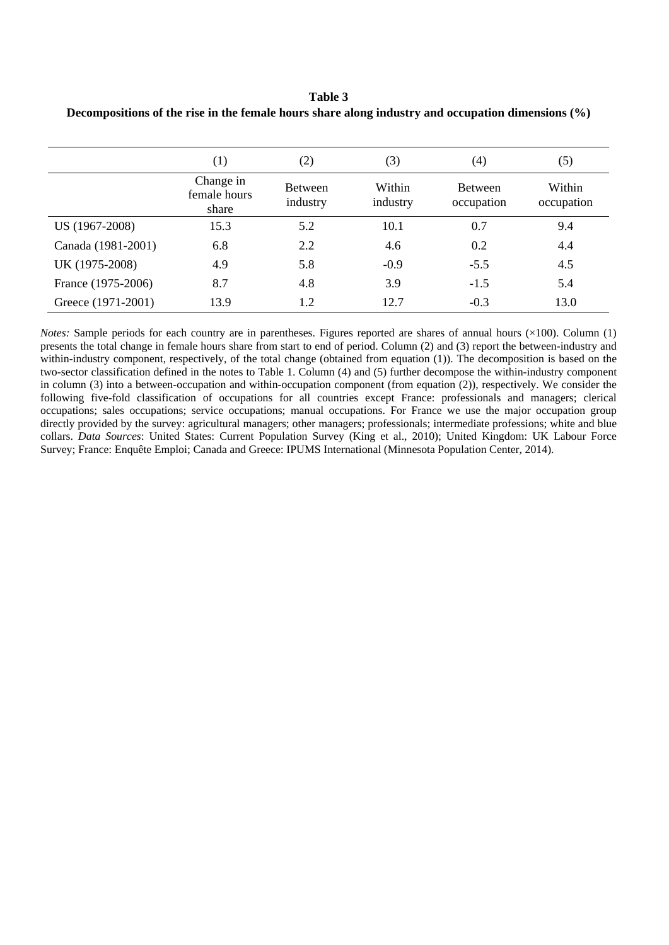#### **Table 3**

|                    | (1)                                | (2)                        | (3)                | $\left( 4\right)$            | (5)                  |
|--------------------|------------------------------------|----------------------------|--------------------|------------------------------|----------------------|
|                    | Change in<br>female hours<br>share | <b>Between</b><br>industry | Within<br>industry | <b>Between</b><br>occupation | Within<br>occupation |
| US (1967-2008)     | 15.3                               | 5.2                        | 10.1               | 0.7                          | 9.4                  |
| Canada (1981-2001) | 6.8                                | 2.2                        | 4.6                | 0.2                          | 4.4                  |
| UK (1975-2008)     | 4.9                                | 5.8                        | $-0.9$             | $-5.5$                       | 4.5                  |
| France (1975-2006) | 8.7                                | 4.8                        | 3.9                | $-1.5$                       | 5.4                  |
| Greece (1971-2001) | 13.9                               | 1.2                        | 12.7               | $-0.3$                       | 13.0                 |

**Decompositions of the rise in the female hours share along industry and occupation dimensions (%)** 

*Notes:* Sample periods for each country are in parentheses. Figures reported are shares of annual hours  $(\times 100)$ . Column (1) presents the total change in female hours share from start to end of period. Column (2) and (3) report the between-industry and within-industry component, respectively, of the total change (obtained from equation (1)). The decomposition is based on the two-sector classification defined in the notes to Table 1. Column (4) and (5) further decompose the within-industry component in column (3) into a between-occupation and within-occupation component (from equation (2)), respectively. We consider the following five-fold classification of occupations for all countries except France: professionals and managers; clerical occupations; sales occupations; service occupations; manual occupations. For France we use the major occupation group directly provided by the survey: agricultural managers; other managers; professionals; intermediate professions; white and blue collars. *Data Sources*: United States: Current Population Survey (King et al., 2010); United Kingdom: UK Labour Force Survey; France: Enquête Emploi; Canada and Greece: IPUMS International (Minnesota Population Center, 2014).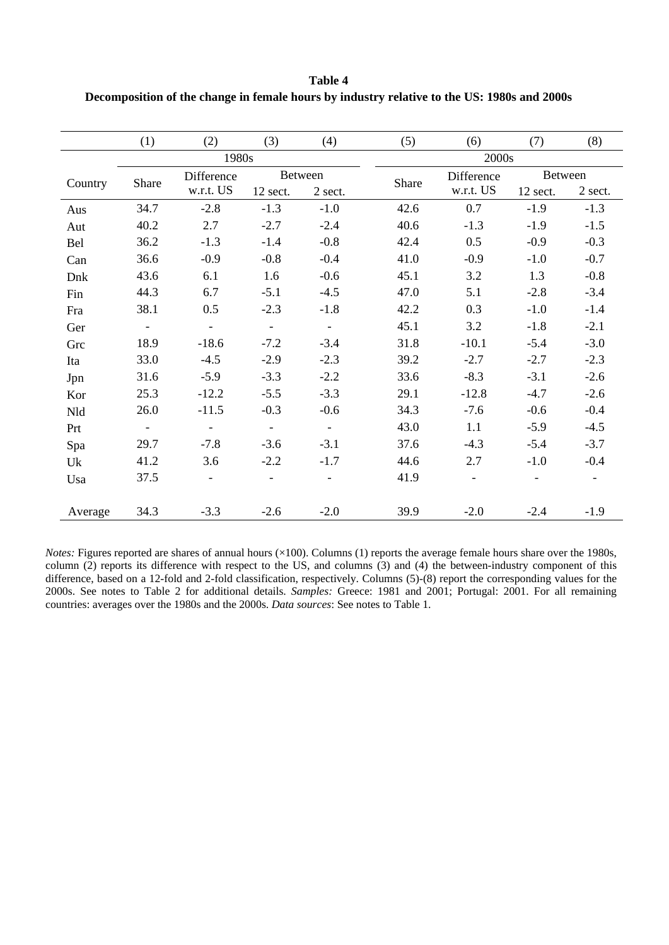**Table 4 Decomposition of the change in female hours by industry relative to the US: 1980s and 2000s** 

|         | (1)    | (2)                      | (3)                      | (4)     | (5)   | (6)        | (7)      | (8)            |  |  |  |  |
|---------|--------|--------------------------|--------------------------|---------|-------|------------|----------|----------------|--|--|--|--|
|         |        | 1980s                    |                          |         |       | 2000s      |          |                |  |  |  |  |
| Country | Share  | Difference               |                          | Between | Share | Difference | Between  |                |  |  |  |  |
|         |        | w.r.t. US                | 12 sect.                 | 2 sect. |       | w.r.t. US  | 12 sect. | 2 sect.        |  |  |  |  |
| Aus     | 34.7   | $-2.8$                   | $-1.3$                   | $-1.0$  | 42.6  | 0.7        | $-1.9$   | $-1.3$         |  |  |  |  |
| Aut     | 40.2   | 2.7                      | $-2.7$                   | $-2.4$  | 40.6  | $-1.3$     | $-1.9$   | $-1.5$         |  |  |  |  |
| Bel     | 36.2   | $-1.3$                   | $-1.4$                   | $-0.8$  | 42.4  | 0.5        | $-0.9$   | $-0.3$         |  |  |  |  |
| Can     | 36.6   | $-0.9$                   | $-0.8$                   | $-0.4$  | 41.0  | $-0.9$     | $-1.0$   | $-0.7$         |  |  |  |  |
| Dnk     | 43.6   | 6.1                      | 1.6                      | $-0.6$  | 45.1  | 3.2        | 1.3      | $-0.8$         |  |  |  |  |
| Fin     | 44.3   | 6.7                      | $-5.1$                   | $-4.5$  | 47.0  | 5.1        | $-2.8$   | $-3.4$         |  |  |  |  |
| Fra     | 38.1   | 0.5                      | $-2.3$                   | $-1.8$  | 42.2  | 0.3        | $-1.0$   | $-1.4$         |  |  |  |  |
| Ger     | $\sim$ | $\omega_{\rm c}$         | $\mathbb{R}^d$           | $\sim$  | 45.1  | 3.2        | $-1.8$   | $-2.1$         |  |  |  |  |
| Grc     | 18.9   | $-18.6$                  | $-7.2$                   | $-3.4$  | 31.8  | $-10.1$    | $-5.4$   | $-3.0$         |  |  |  |  |
| Ita     | 33.0   | $-4.5$                   | $-2.9$                   | $-2.3$  | 39.2  | $-2.7$     | $-2.7$   | $-2.3$         |  |  |  |  |
| Jpn     | 31.6   | $-5.9$                   | $-3.3$                   | $-2.2$  | 33.6  | $-8.3$     | $-3.1$   | $-2.6$         |  |  |  |  |
| Kor     | 25.3   | $-12.2$                  | $-5.5$                   | $-3.3$  | 29.1  | $-12.8$    | $-4.7$   | $-2.6$         |  |  |  |  |
| Nld     | 26.0   | $-11.5$                  | $-0.3$                   | $-0.6$  | 34.3  | $-7.6$     | $-0.6$   | $-0.4$         |  |  |  |  |
| Prt     | $\sim$ | $\equiv$                 | $\sim$                   | $\sim$  | 43.0  | 1.1        | $-5.9$   | $-4.5$         |  |  |  |  |
| Spa     | 29.7   | $-7.8$                   | $-3.6$                   | $-3.1$  | 37.6  | $-4.3$     | $-5.4$   | $-3.7$         |  |  |  |  |
| Uk      | 41.2   | 3.6                      | $-2.2$                   | $-1.7$  | 44.6  | 2.7        | $-1.0$   | $-0.4$         |  |  |  |  |
| Usa     | 37.5   | $\overline{\phantom{a}}$ | $\overline{\phantom{a}}$ |         | 41.9  | $\equiv$   |          | $\blacksquare$ |  |  |  |  |
|         |        |                          |                          |         |       |            |          |                |  |  |  |  |
| Average | 34.3   | $-3.3$                   | $-2.6$                   | $-2.0$  | 39.9  | $-2.0$     | $-2.4$   | $-1.9$         |  |  |  |  |

*Notes:* Figures reported are shares of annual hours (×100). Columns (1) reports the average female hours share over the 1980s, column (2) reports its difference with respect to the US, and columns (3) and (4) the between-industry component of this difference, based on a 12-fold and 2-fold classification, respectively. Columns (5)-(8) report the corresponding values for the 2000s. See notes to Table 2 for additional details. *Samples:* Greece: 1981 and 2001; Portugal: 2001. For all remaining countries: averages over the 1980s and the 2000s. *Data sources*: See notes to Table 1.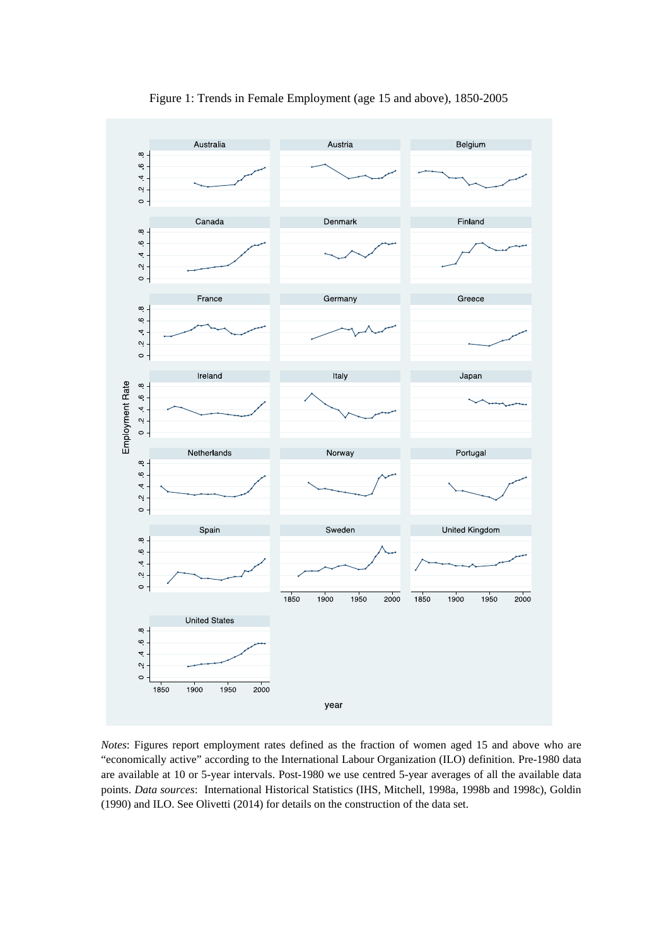

Figure 1: Trends in Female Employment (age 15 and above), 1850-2005

*Notes*: Figures report employment rates defined as the fraction of women aged 15 and above who are "economically active" according to the International Labour Organization (ILO) definition. Pre-1980 data are available at 10 or 5-year intervals. Post-1980 we use centred 5-year averages of all the available data points. *Data sources*: International Historical Statistics (IHS, Mitchell, 1998a, 1998b and 1998c), Goldin (1990) and ILO. See Olivetti (2014) for details on the construction of the data set.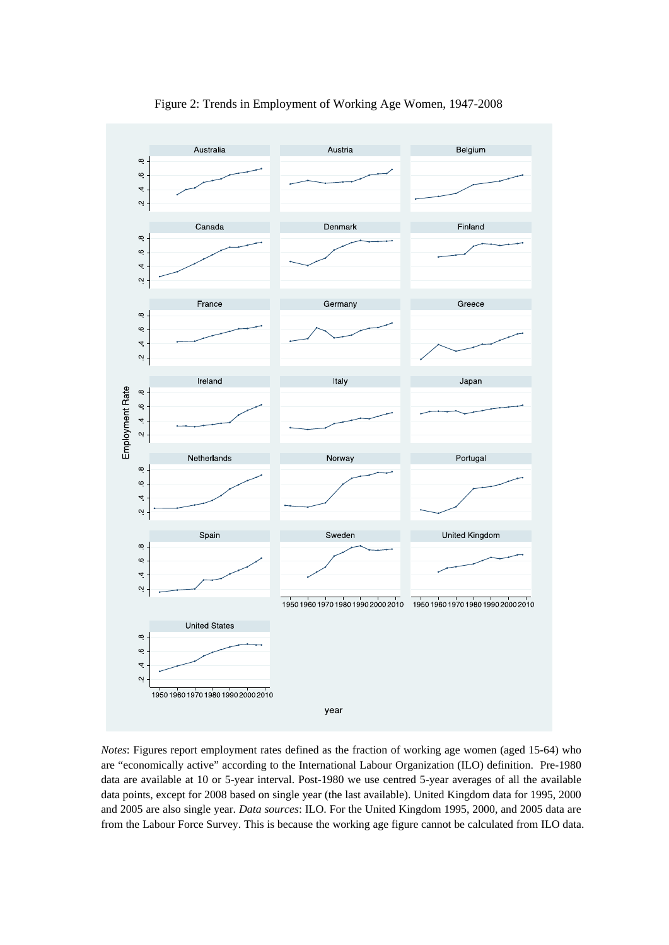

Figure 2: Trends in Employment of Working Age Women, 1947-2008

*Notes*: Figures report employment rates defined as the fraction of working age women (aged 15-64) who are "economically active" according to the International Labour Organization (ILO) definition. Pre-1980 data are available at 10 or 5-year interval. Post-1980 we use centred 5-year averages of all the available data points, except for 2008 based on single year (the last available). United Kingdom data for 1995, 2000 and 2005 are also single year. *Data sources*: ILO. For the United Kingdom 1995, 2000, and 2005 data are from the Labour Force Survey. This is because the working age figure cannot be calculated from ILO data.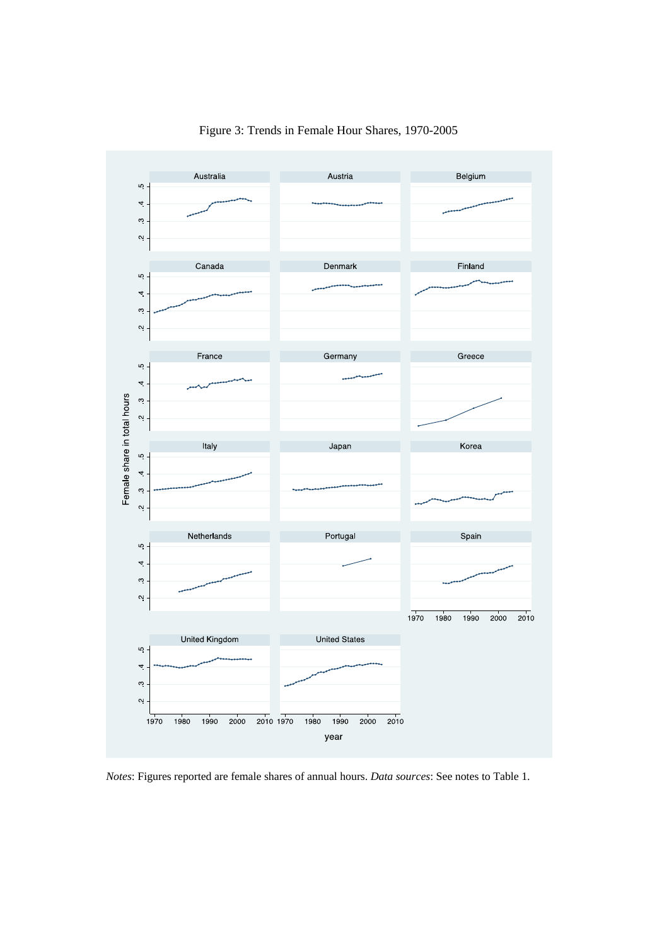

Figure 3: Trends in Female Hour Shares, 1970-2005

*Notes*: Figures reported are female shares of annual hours. *Data sources*: See notes to Table 1.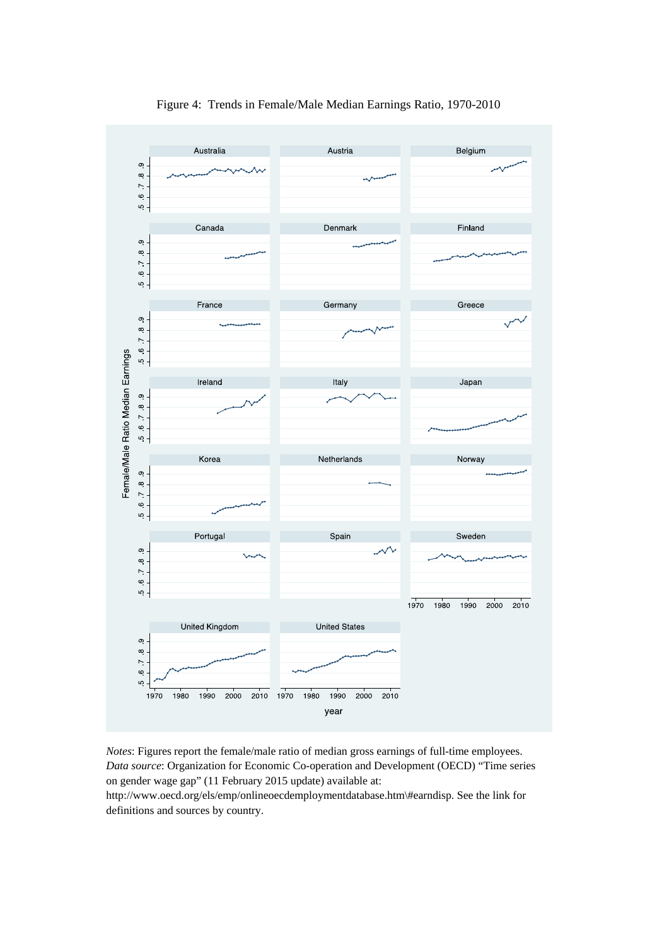

Figure 4: Trends in Female/Male Median Earnings Ratio, 1970-2010

*Notes*: Figures report the female/male ratio of median gross earnings of full-time employees. *Data source*: Organization for Economic Co-operation and Development (OECD) "Time series on gender wage gap" (11 February 2015 update) available at:

http://www.oecd.org/els/emp/onlineoecdemploymentdatabase.htm\#earndisp. See the link for definitions and sources by country.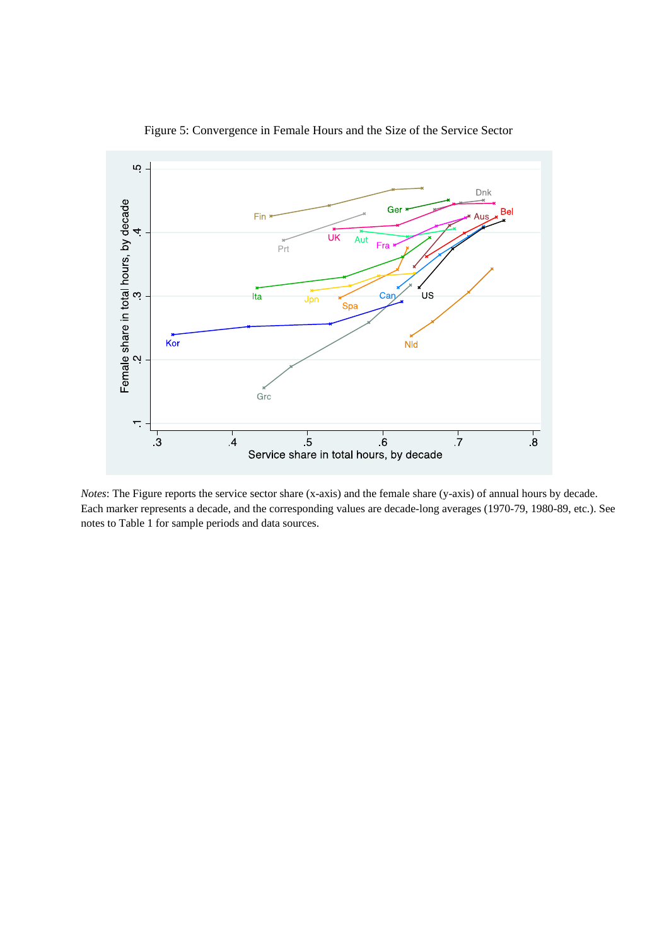

Figure 5: Convergence in Female Hours and the Size of the Service Sector

*Notes*: The Figure reports the service sector share (x-axis) and the female share (y-axis) of annual hours by decade. Each marker represents a decade, and the corresponding values are decade-long averages (1970-79, 1980-89, etc.). See notes to Table 1 for sample periods and data sources.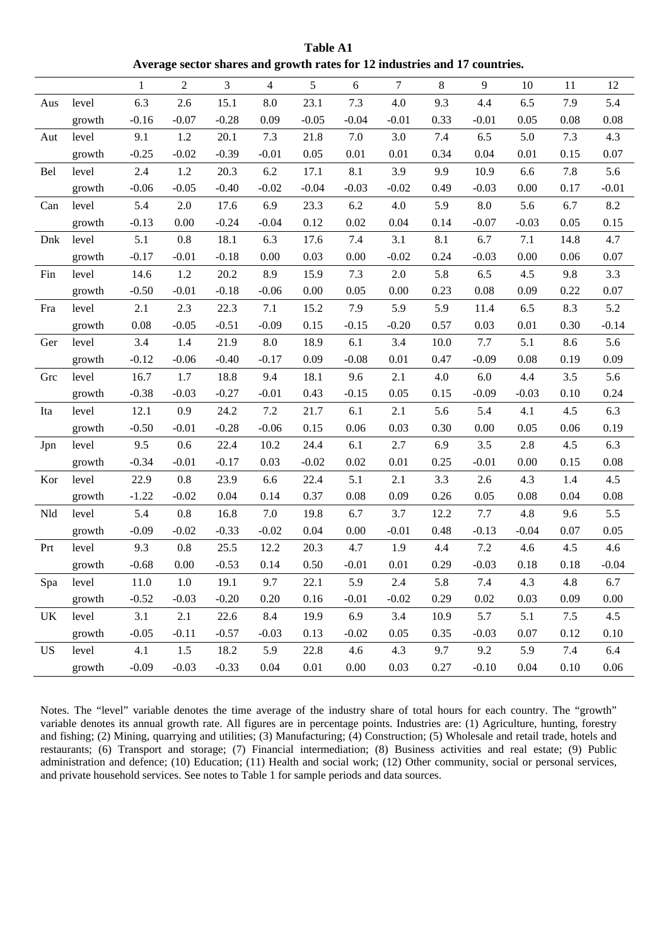**Table A1 Average sector shares and growth rates for 12 industries and 17 countries.** 

|           |        | $\mathbf{1}$ | $\overline{2}$ | 3       | $\overline{4}$ | 5       | 6        | $\tau$  | 8    | 9       | 10      | 11   | 12       |
|-----------|--------|--------------|----------------|---------|----------------|---------|----------|---------|------|---------|---------|------|----------|
| Aus       | level  | 6.3          | 2.6            | 15.1    | 8.0            | 23.1    | 7.3      | 4.0     | 9.3  | 4.4     | 6.5     | 7.9  | 5.4      |
|           | growth | $-0.16$      | $-0.07$        | $-0.28$ | 0.09           | $-0.05$ | $-0.04$  | $-0.01$ | 0.33 | $-0.01$ | 0.05    | 0.08 | 0.08     |
| Aut       | level  | 9.1          | 1.2            | 20.1    | 7.3            | 21.8    | 7.0      | 3.0     | 7.4  | 6.5     | 5.0     | 7.3  | 4.3      |
|           | growth | $-0.25$      | $-0.02$        | $-0.39$ | $-0.01$        | 0.05    | 0.01     | 0.01    | 0.34 | 0.04    | 0.01    | 0.15 | 0.07     |
| Bel       | level  | 2.4          | 1.2            | 20.3    | 6.2            | 17.1    | 8.1      | 3.9     | 9.9  | 10.9    | 6.6     | 7.8  | 5.6      |
|           | growth | $-0.06$      | $-0.05$        | $-0.40$ | $-0.02$        | $-0.04$ | $-0.03$  | $-0.02$ | 0.49 | $-0.03$ | 0.00    | 0.17 | $-0.01$  |
| Can       | level  | 5.4          | $2.0\,$        | 17.6    | 6.9            | 23.3    | 6.2      | 4.0     | 5.9  | $8.0\,$ | 5.6     | 6.7  | 8.2      |
|           | growth | $-0.13$      | 0.00           | $-0.24$ | $-0.04$        | 0.12    | 0.02     | 0.04    | 0.14 | $-0.07$ | $-0.03$ | 0.05 | 0.15     |
| Dnk       | level  | 5.1          | 0.8            | 18.1    | 6.3            | 17.6    | 7.4      | 3.1     | 8.1  | 6.7     | 7.1     | 14.8 | 4.7      |
|           | growth | $-0.17$      | $-0.01$        | $-0.18$ | 0.00           | 0.03    | 0.00     | $-0.02$ | 0.24 | $-0.03$ | 0.00    | 0.06 | 0.07     |
| Fin       | level  | 14.6         | 1.2            | 20.2    | 8.9            | 15.9    | 7.3      | 2.0     | 5.8  | 6.5     | 4.5     | 9.8  | 3.3      |
|           | growth | $-0.50$      | $-0.01$        | $-0.18$ | $-0.06$        | 0.00    | 0.05     | 0.00    | 0.23 | 0.08    | 0.09    | 0.22 | 0.07     |
| Fra       | level  | 2.1          | 2.3            | 22.3    | 7.1            | 15.2    | 7.9      | 5.9     | 5.9  | 11.4    | 6.5     | 8.3  | 5.2      |
|           | growth | 0.08         | $-0.05$        | $-0.51$ | $-0.09$        | 0.15    | $-0.15$  | $-0.20$ | 0.57 | 0.03    | 0.01    | 0.30 | $-0.14$  |
| Ger       | level  | 3.4          | 1.4            | 21.9    | $8.0\,$        | 18.9    | 6.1      | 3.4     | 10.0 | 7.7     | 5.1     | 8.6  | 5.6      |
|           | growth | $-0.12$      | $-0.06$        | $-0.40$ | $-0.17$        | 0.09    | $-0.08$  | 0.01    | 0.47 | $-0.09$ | 0.08    | 0.19 | 0.09     |
| Grc       | level  | 16.7         | 1.7            | 18.8    | 9.4            | 18.1    | 9.6      | 2.1     | 4.0  | 6.0     | 4.4     | 3.5  | 5.6      |
|           | growth | $-0.38$      | $-0.03$        | $-0.27$ | $-0.01$        | 0.43    | $-0.15$  | 0.05    | 0.15 | $-0.09$ | $-0.03$ | 0.10 | 0.24     |
| Ita       | level  | 12.1         | 0.9            | 24.2    | 7.2            | 21.7    | 6.1      | 2.1     | 5.6  | 5.4     | 4.1     | 4.5  | 6.3      |
|           | growth | $-0.50$      | $-0.01$        | $-0.28$ | $-0.06$        | 0.15    | 0.06     | 0.03    | 0.30 | 0.00    | 0.05    | 0.06 | 0.19     |
| Jpn       | level  | 9.5          | 0.6            | 22.4    | 10.2           | 24.4    | 6.1      | 2.7     | 6.9  | 3.5     | 2.8     | 4.5  | 6.3      |
|           | growth | $-0.34$      | $-0.01$        | $-0.17$ | 0.03           | $-0.02$ | 0.02     | 0.01    | 0.25 | $-0.01$ | 0.00    | 0.15 | 0.08     |
| Kor       | level  | 22.9         | 0.8            | 23.9    | 6.6            | 22.4    | 5.1      | 2.1     | 3.3  | 2.6     | 4.3     | 1.4  | 4.5      |
|           | growth | $-1.22$      | $-0.02$        | 0.04    | 0.14           | 0.37    | 0.08     | 0.09    | 0.26 | 0.05    | 0.08    | 0.04 | 0.08     |
| Nld       | level  | 5.4          | 0.8            | 16.8    | 7.0            | 19.8    | 6.7      | 3.7     | 12.2 | 7.7     | 4.8     | 9.6  | 5.5      |
|           | growth | $-0.09$      | $-0.02$        | $-0.33$ | $-0.02$        | 0.04    | 0.00     | $-0.01$ | 0.48 | $-0.13$ | $-0.04$ | 0.07 | 0.05     |
| Prt       | level  | 9.3          | 0.8            | 25.5    | 12.2           | 20.3    | 4.7      | 1.9     | 4.4  | $7.2\,$ | 4.6     | 4.5  | 4.6      |
|           | growth | $-0.68$      | 0.00           | $-0.53$ | 0.14           | 0.50    | $-0.01$  | 0.01    | 0.29 | $-0.03$ | 0.18    | 0.18 | $-0.04$  |
| Spa       | level  | 11.0         | $1.0\,$        | 19.1    | 9.7            | 22.1    | 5.9      | $2.4\,$ | 5.8  | 7.4     | 4.3     | 4.8  | 6.7      |
|           | growth | $-0.52$      | $-0.03$        | $-0.20$ | 0.20           | 0.16    | $-0.01$  | $-0.02$ | 0.29 | 0.02    | 0.03    | 0.09 | 0.00     |
| UK        | level  | 3.1          | 2.1            | 22.6    | 8.4            | 19.9    | 6.9      | 3.4     | 10.9 | 5.7     | 5.1     | 7.5  | 4.5      |
|           | growth | $-0.05$      | $-0.11$        | $-0.57$ | $-0.03$        | 0.13    | $-0.02$  | 0.05    | 0.35 | $-0.03$ | 0.07    | 0.12 | 0.10     |
| <b>US</b> | level  | 4.1          | 1.5            | 18.2    | 5.9            | 22.8    | 4.6      | 4.3     | 9.7  | 9.2     | 5.9     | 7.4  | 6.4      |
|           | growth | $-0.09$      | $-0.03$        | $-0.33$ | 0.04           | 0.01    | $0.00\,$ | 0.03    | 0.27 | $-0.10$ | 0.04    | 0.10 | $0.06\,$ |

Notes. The "level" variable denotes the time average of the industry share of total hours for each country. The "growth" variable denotes its annual growth rate. All figures are in percentage points. Industries are: (1) Agriculture, hunting, forestry and fishing; (2) Mining, quarrying and utilities; (3) Manufacturing; (4) Construction; (5) Wholesale and retail trade, hotels and restaurants; (6) Transport and storage; (7) Financial intermediation; (8) Business activities and real estate; (9) Public administration and defence; (10) Education; (11) Health and social work; (12) Other community, social or personal services, and private household services. See notes to Table 1 for sample periods and data sources.